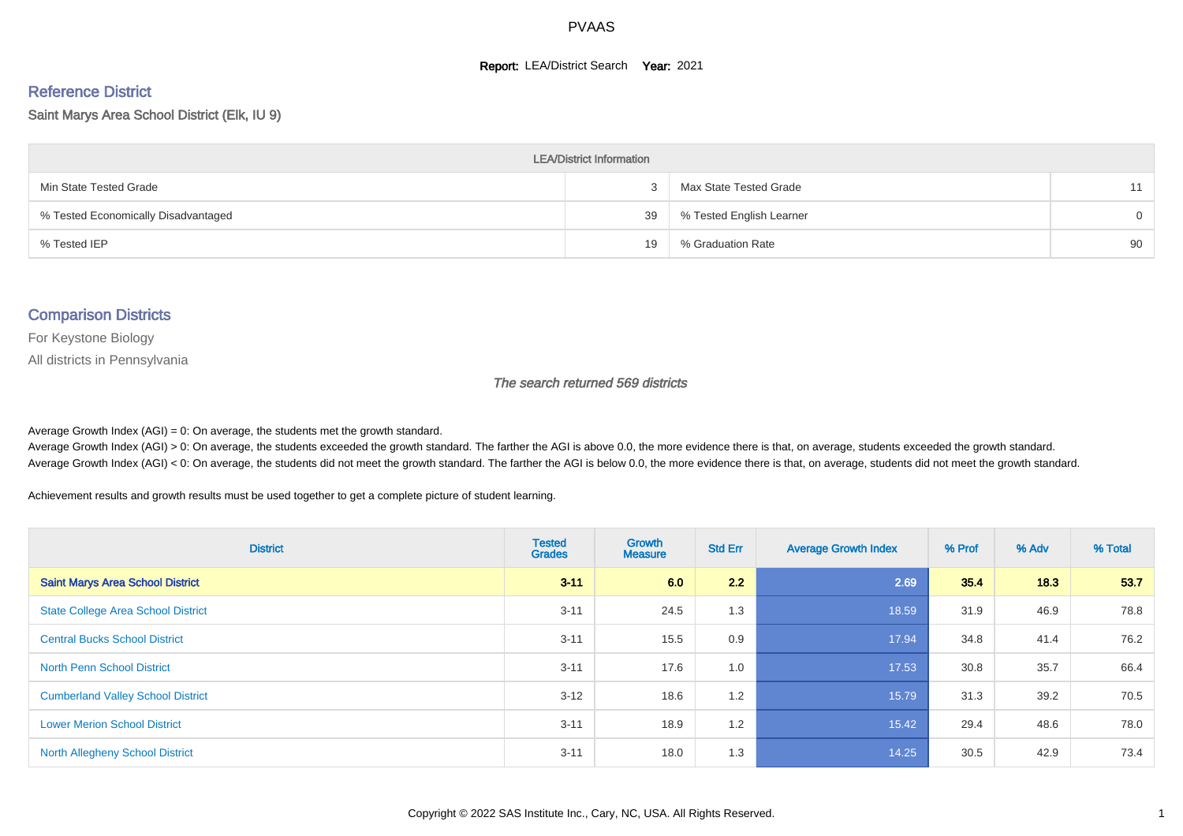#### **Report: LEA/District Search Year: 2021**

# Reference District

Saint Marys Area School District (Elk, IU 9)

| <b>LEA/District Information</b>     |    |                          |          |  |  |  |  |  |  |
|-------------------------------------|----|--------------------------|----------|--|--|--|--|--|--|
| Min State Tested Grade              |    | Max State Tested Grade   | 11       |  |  |  |  |  |  |
| % Tested Economically Disadvantaged | 39 | % Tested English Learner | $\Omega$ |  |  |  |  |  |  |
| % Tested IEP                        | 19 | % Graduation Rate        | 90       |  |  |  |  |  |  |

#### Comparison Districts

For Keystone Biology

All districts in Pennsylvania

The search returned 569 districts

Average Growth Index  $(AGI) = 0$ : On average, the students met the growth standard.

Average Growth Index (AGI) > 0: On average, the students exceeded the growth standard. The farther the AGI is above 0.0, the more evidence there is that, on average, students exceeded the growth standard. Average Growth Index (AGI) < 0: On average, the students did not meet the growth standard. The farther the AGI is below 0.0, the more evidence there is that, on average, students did not meet the growth standard.

Achievement results and growth results must be used together to get a complete picture of student learning.

| <b>District</b>                           | <b>Tested</b><br><b>Grades</b> | <b>Growth</b><br><b>Measure</b> | <b>Std Err</b> | <b>Average Growth Index</b> | % Prof | % Adv | % Total |
|-------------------------------------------|--------------------------------|---------------------------------|----------------|-----------------------------|--------|-------|---------|
| <b>Saint Marys Area School District</b>   | $3 - 11$                       | 6.0                             | 2.2            | 2.69                        | 35.4   | 18.3  | 53.7    |
| <b>State College Area School District</b> | $3 - 11$                       | 24.5                            | 1.3            | 18.59                       | 31.9   | 46.9  | 78.8    |
| <b>Central Bucks School District</b>      | $3 - 11$                       | 15.5                            | 0.9            | 17.94                       | 34.8   | 41.4  | 76.2    |
| <b>North Penn School District</b>         | $3 - 11$                       | 17.6                            | 1.0            | 17.53                       | 30.8   | 35.7  | 66.4    |
| <b>Cumberland Valley School District</b>  | $3 - 12$                       | 18.6                            | 1.2            | 15.79                       | 31.3   | 39.2  | 70.5    |
| <b>Lower Merion School District</b>       | $3 - 11$                       | 18.9                            | 1.2            | 15.42                       | 29.4   | 48.6  | 78.0    |
| <b>North Allegheny School District</b>    | $3 - 11$                       | 18.0                            | 1.3            | 14.25                       | 30.5   | 42.9  | 73.4    |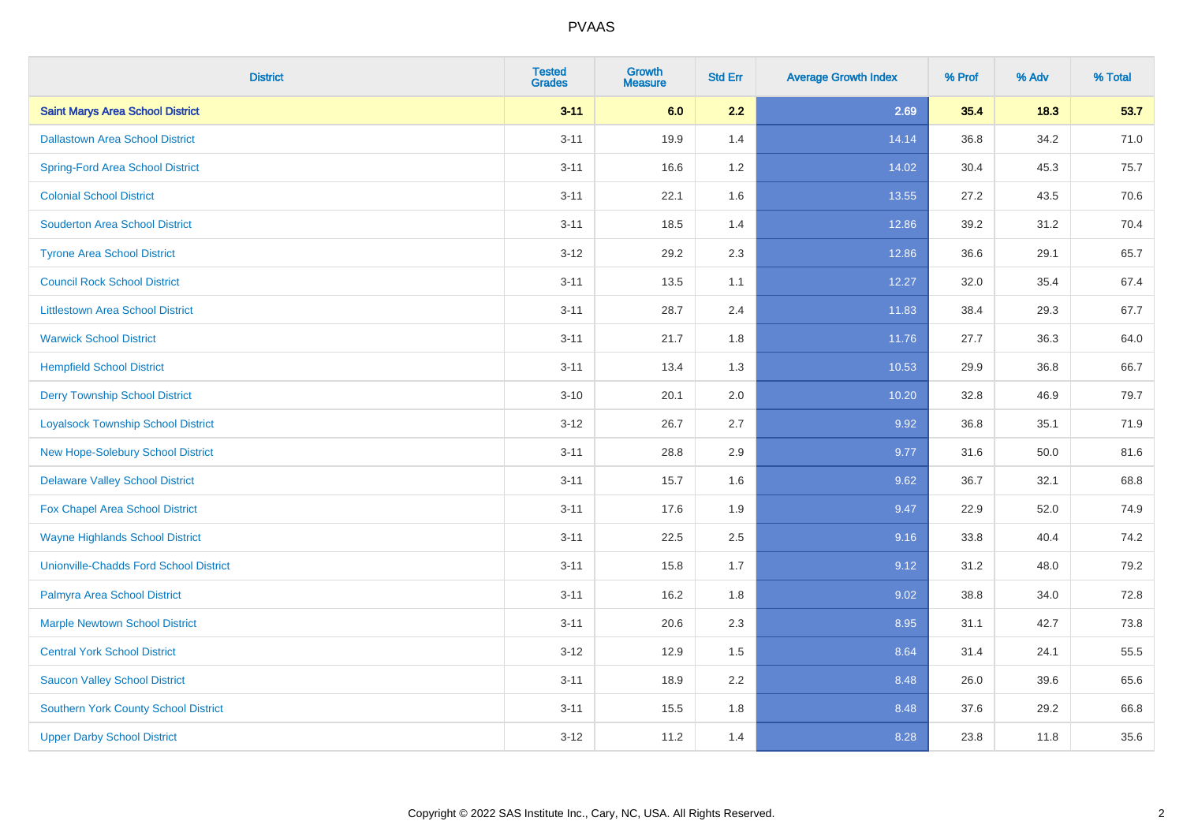| <b>District</b>                               | <b>Tested</b><br><b>Grades</b> | <b>Growth</b><br><b>Measure</b> | <b>Std Err</b> | <b>Average Growth Index</b> | % Prof | % Adv | % Total |
|-----------------------------------------------|--------------------------------|---------------------------------|----------------|-----------------------------|--------|-------|---------|
| <b>Saint Marys Area School District</b>       | $3 - 11$                       | 6.0                             | 2.2            | 2.69                        | 35.4   | 18.3  | 53.7    |
| <b>Dallastown Area School District</b>        | $3 - 11$                       | 19.9                            | 1.4            | 14.14                       | 36.8   | 34.2  | 71.0    |
| <b>Spring-Ford Area School District</b>       | $3 - 11$                       | 16.6                            | 1.2            | 14.02                       | 30.4   | 45.3  | 75.7    |
| <b>Colonial School District</b>               | $3 - 11$                       | 22.1                            | 1.6            | 13.55                       | 27.2   | 43.5  | 70.6    |
| <b>Souderton Area School District</b>         | $3 - 11$                       | 18.5                            | 1.4            | 12.86                       | 39.2   | 31.2  | 70.4    |
| <b>Tyrone Area School District</b>            | $3 - 12$                       | 29.2                            | 2.3            | 12.86                       | 36.6   | 29.1  | 65.7    |
| <b>Council Rock School District</b>           | $3 - 11$                       | 13.5                            | 1.1            | 12.27                       | 32.0   | 35.4  | 67.4    |
| <b>Littlestown Area School District</b>       | $3 - 11$                       | 28.7                            | 2.4            | 11.83                       | 38.4   | 29.3  | 67.7    |
| <b>Warwick School District</b>                | $3 - 11$                       | 21.7                            | 1.8            | 11.76                       | 27.7   | 36.3  | 64.0    |
| <b>Hempfield School District</b>              | $3 - 11$                       | 13.4                            | 1.3            | 10.53                       | 29.9   | 36.8  | 66.7    |
| <b>Derry Township School District</b>         | $3 - 10$                       | 20.1                            | 2.0            | 10.20                       | 32.8   | 46.9  | 79.7    |
| <b>Loyalsock Township School District</b>     | $3 - 12$                       | 26.7                            | 2.7            | 9.92                        | 36.8   | 35.1  | 71.9    |
| New Hope-Solebury School District             | $3 - 11$                       | 28.8                            | 2.9            | 9.77                        | 31.6   | 50.0  | 81.6    |
| <b>Delaware Valley School District</b>        | $3 - 11$                       | 15.7                            | 1.6            | 9.62                        | 36.7   | 32.1  | 68.8    |
| Fox Chapel Area School District               | $3 - 11$                       | 17.6                            | 1.9            | 9.47                        | 22.9   | 52.0  | 74.9    |
| <b>Wayne Highlands School District</b>        | $3 - 11$                       | 22.5                            | 2.5            | 9.16                        | 33.8   | 40.4  | 74.2    |
| <b>Unionville-Chadds Ford School District</b> | $3 - 11$                       | 15.8                            | 1.7            | 9.12                        | 31.2   | 48.0  | 79.2    |
| Palmyra Area School District                  | $3 - 11$                       | 16.2                            | 1.8            | 9.02                        | 38.8   | 34.0  | 72.8    |
| <b>Marple Newtown School District</b>         | $3 - 11$                       | 20.6                            | 2.3            | 8.95                        | 31.1   | 42.7  | 73.8    |
| <b>Central York School District</b>           | $3 - 12$                       | 12.9                            | 1.5            | 8.64                        | 31.4   | 24.1  | 55.5    |
| <b>Saucon Valley School District</b>          | $3 - 11$                       | 18.9                            | 2.2            | 8.48                        | 26.0   | 39.6  | 65.6    |
| <b>Southern York County School District</b>   | $3 - 11$                       | 15.5                            | 1.8            | 8.48                        | 37.6   | 29.2  | 66.8    |
| <b>Upper Darby School District</b>            | $3 - 12$                       | 11.2                            | 1.4            | 8.28                        | 23.8   | 11.8  | 35.6    |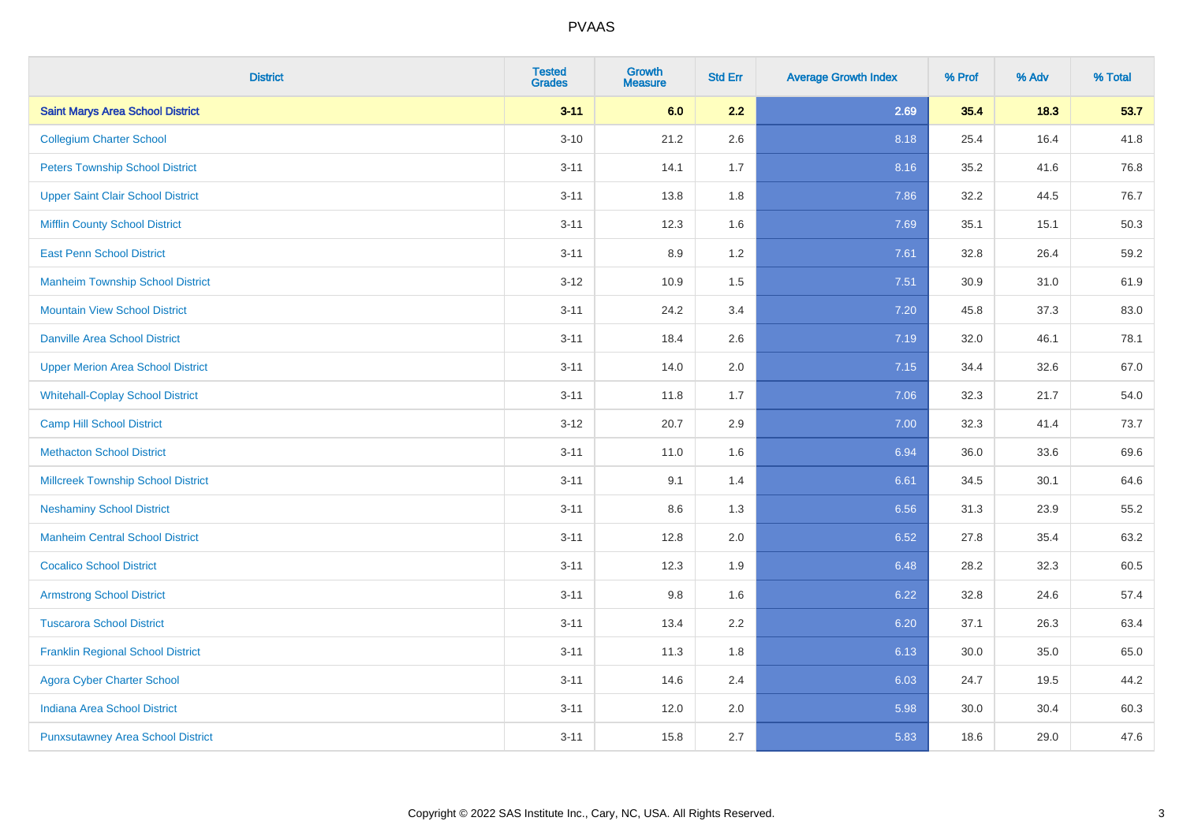| <b>District</b>                           | <b>Tested</b><br><b>Grades</b> | <b>Growth</b><br><b>Measure</b> | <b>Std Err</b> | <b>Average Growth Index</b> | % Prof | % Adv | % Total |
|-------------------------------------------|--------------------------------|---------------------------------|----------------|-----------------------------|--------|-------|---------|
| <b>Saint Marys Area School District</b>   | $3 - 11$                       | 6.0                             | 2.2            | 2.69                        | 35.4   | 18.3  | 53.7    |
| <b>Collegium Charter School</b>           | $3 - 10$                       | 21.2                            | 2.6            | 8.18                        | 25.4   | 16.4  | 41.8    |
| <b>Peters Township School District</b>    | $3 - 11$                       | 14.1                            | 1.7            | 8.16                        | 35.2   | 41.6  | 76.8    |
| <b>Upper Saint Clair School District</b>  | $3 - 11$                       | 13.8                            | 1.8            | 7.86                        | 32.2   | 44.5  | 76.7    |
| <b>Mifflin County School District</b>     | $3 - 11$                       | 12.3                            | 1.6            | 7.69                        | 35.1   | 15.1  | 50.3    |
| <b>East Penn School District</b>          | $3 - 11$                       | 8.9                             | 1.2            | 7.61                        | 32.8   | 26.4  | 59.2    |
| <b>Manheim Township School District</b>   | $3 - 12$                       | 10.9                            | 1.5            | 7.51                        | 30.9   | 31.0  | 61.9    |
| <b>Mountain View School District</b>      | $3 - 11$                       | 24.2                            | 3.4            | 7.20                        | 45.8   | 37.3  | 83.0    |
| <b>Danville Area School District</b>      | $3 - 11$                       | 18.4                            | 2.6            | 7.19                        | 32.0   | 46.1  | 78.1    |
| <b>Upper Merion Area School District</b>  | $3 - 11$                       | 14.0                            | 2.0            | 7.15                        | 34.4   | 32.6  | 67.0    |
| <b>Whitehall-Coplay School District</b>   | $3 - 11$                       | 11.8                            | 1.7            | 7.06                        | 32.3   | 21.7  | 54.0    |
| <b>Camp Hill School District</b>          | $3 - 12$                       | 20.7                            | 2.9            | 7.00                        | 32.3   | 41.4  | 73.7    |
| <b>Methacton School District</b>          | $3 - 11$                       | 11.0                            | 1.6            | 6.94                        | 36.0   | 33.6  | 69.6    |
| <b>Millcreek Township School District</b> | $3 - 11$                       | 9.1                             | 1.4            | 6.61                        | 34.5   | 30.1  | 64.6    |
| <b>Neshaminy School District</b>          | $3 - 11$                       | 8.6                             | 1.3            | 6.56                        | 31.3   | 23.9  | 55.2    |
| <b>Manheim Central School District</b>    | $3 - 11$                       | 12.8                            | 2.0            | 6.52                        | 27.8   | 35.4  | 63.2    |
| <b>Cocalico School District</b>           | $3 - 11$                       | 12.3                            | 1.9            | 6.48                        | 28.2   | 32.3  | 60.5    |
| <b>Armstrong School District</b>          | $3 - 11$                       | 9.8                             | 1.6            | 6.22                        | 32.8   | 24.6  | 57.4    |
| <b>Tuscarora School District</b>          | $3 - 11$                       | 13.4                            | 2.2            | 6.20                        | 37.1   | 26.3  | 63.4    |
| <b>Franklin Regional School District</b>  | $3 - 11$                       | 11.3                            | 1.8            | 6.13                        | 30.0   | 35.0  | 65.0    |
| <b>Agora Cyber Charter School</b>         | $3 - 11$                       | 14.6                            | 2.4            | 6.03                        | 24.7   | 19.5  | 44.2    |
| Indiana Area School District              | $3 - 11$                       | 12.0                            | 2.0            | 5.98                        | 30.0   | 30.4  | 60.3    |
| <b>Punxsutawney Area School District</b>  | $3 - 11$                       | 15.8                            | 2.7            | 5.83                        | 18.6   | 29.0  | 47.6    |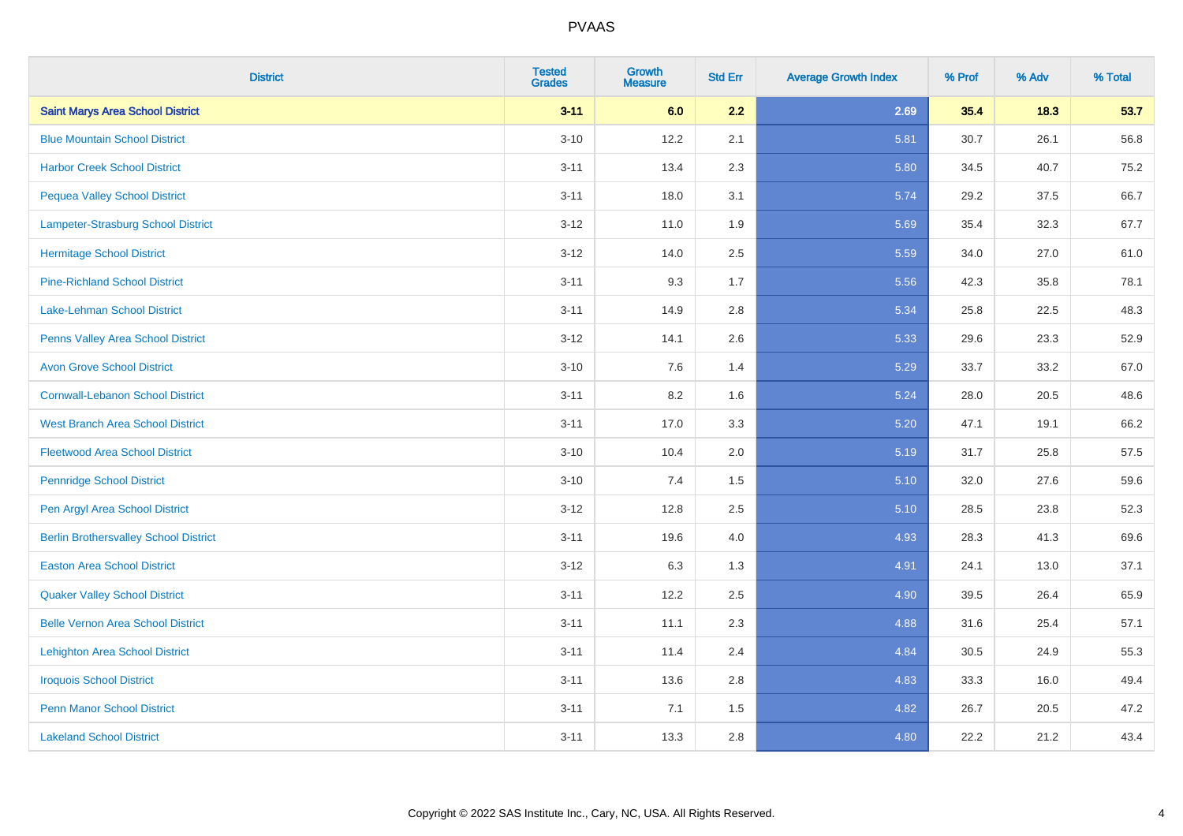| <b>District</b>                              | <b>Tested</b><br><b>Grades</b> | <b>Growth</b><br><b>Measure</b> | <b>Std Err</b> | <b>Average Growth Index</b> | % Prof | % Adv | % Total |
|----------------------------------------------|--------------------------------|---------------------------------|----------------|-----------------------------|--------|-------|---------|
| <b>Saint Marys Area School District</b>      | $3 - 11$                       | 6.0                             | 2.2            | 2.69                        | 35.4   | 18.3  | 53.7    |
| <b>Blue Mountain School District</b>         | $3 - 10$                       | 12.2                            | 2.1            | 5.81                        | 30.7   | 26.1  | 56.8    |
| <b>Harbor Creek School District</b>          | $3 - 11$                       | 13.4                            | 2.3            | 5.80                        | 34.5   | 40.7  | 75.2    |
| <b>Pequea Valley School District</b>         | $3 - 11$                       | 18.0                            | 3.1            | 5.74                        | 29.2   | 37.5  | 66.7    |
| Lampeter-Strasburg School District           | $3 - 12$                       | 11.0                            | 1.9            | 5.69                        | 35.4   | 32.3  | 67.7    |
| <b>Hermitage School District</b>             | $3 - 12$                       | 14.0                            | 2.5            | 5.59                        | 34.0   | 27.0  | 61.0    |
| <b>Pine-Richland School District</b>         | $3 - 11$                       | 9.3                             | 1.7            | 5.56                        | 42.3   | 35.8  | 78.1    |
| Lake-Lehman School District                  | $3 - 11$                       | 14.9                            | 2.8            | 5.34                        | 25.8   | 22.5  | 48.3    |
| Penns Valley Area School District            | $3 - 12$                       | 14.1                            | 2.6            | 5.33                        | 29.6   | 23.3  | 52.9    |
| <b>Avon Grove School District</b>            | $3 - 10$                       | 7.6                             | 1.4            | 5.29                        | 33.7   | 33.2  | 67.0    |
| <b>Cornwall-Lebanon School District</b>      | $3 - 11$                       | 8.2                             | 1.6            | 5.24                        | 28.0   | 20.5  | 48.6    |
| <b>West Branch Area School District</b>      | $3 - 11$                       | 17.0                            | 3.3            | 5.20                        | 47.1   | 19.1  | 66.2    |
| <b>Fleetwood Area School District</b>        | $3 - 10$                       | 10.4                            | 2.0            | 5.19                        | 31.7   | 25.8  | 57.5    |
| <b>Pennridge School District</b>             | $3 - 10$                       | 7.4                             | 1.5            | 5.10                        | 32.0   | 27.6  | 59.6    |
| Pen Argyl Area School District               | $3 - 12$                       | 12.8                            | 2.5            | 5.10                        | 28.5   | 23.8  | 52.3    |
| <b>Berlin Brothersvalley School District</b> | $3 - 11$                       | 19.6                            | 4.0            | 4.93                        | 28.3   | 41.3  | 69.6    |
| <b>Easton Area School District</b>           | $3 - 12$                       | 6.3                             | 1.3            | 4.91                        | 24.1   | 13.0  | 37.1    |
| <b>Quaker Valley School District</b>         | $3 - 11$                       | 12.2                            | 2.5            | 4.90                        | 39.5   | 26.4  | 65.9    |
| <b>Belle Vernon Area School District</b>     | $3 - 11$                       | 11.1                            | 2.3            | 4.88                        | 31.6   | 25.4  | 57.1    |
| <b>Lehighton Area School District</b>        | $3 - 11$                       | 11.4                            | 2.4            | 4.84                        | 30.5   | 24.9  | 55.3    |
| <b>Iroquois School District</b>              | $3 - 11$                       | 13.6                            | 2.8            | 4.83                        | 33.3   | 16.0  | 49.4    |
| <b>Penn Manor School District</b>            | $3 - 11$                       | 7.1                             | 1.5            | 4.82                        | 26.7   | 20.5  | 47.2    |
| <b>Lakeland School District</b>              | $3 - 11$                       | 13.3                            | 2.8            | 4.80                        | 22.2   | 21.2  | 43.4    |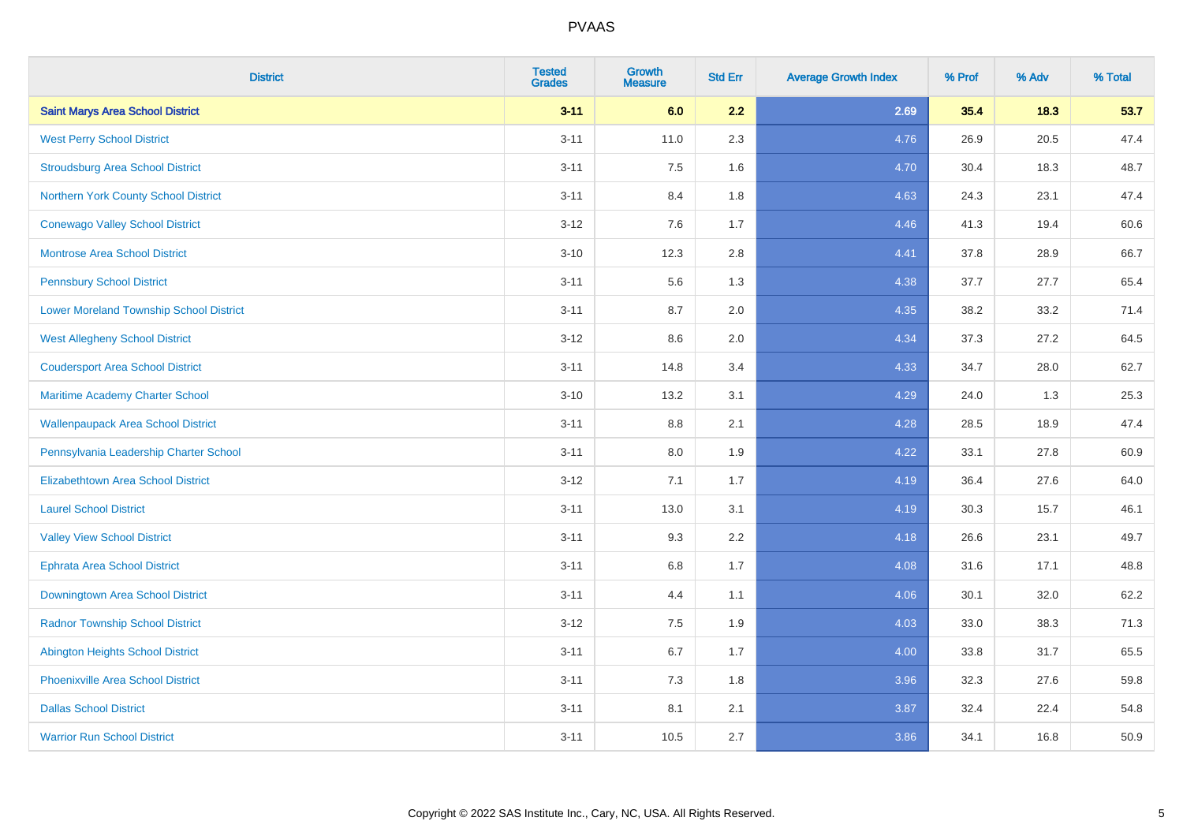| <b>District</b>                                | <b>Tested</b><br><b>Grades</b> | <b>Growth</b><br><b>Measure</b> | <b>Std Err</b> | <b>Average Growth Index</b> | % Prof | % Adv | % Total |
|------------------------------------------------|--------------------------------|---------------------------------|----------------|-----------------------------|--------|-------|---------|
| <b>Saint Marys Area School District</b>        | $3 - 11$                       | 6.0                             | 2.2            | 2.69                        | 35.4   | 18.3  | 53.7    |
| <b>West Perry School District</b>              | $3 - 11$                       | 11.0                            | 2.3            | 4.76                        | 26.9   | 20.5  | 47.4    |
| <b>Stroudsburg Area School District</b>        | $3 - 11$                       | 7.5                             | 1.6            | 4.70                        | 30.4   | 18.3  | 48.7    |
| Northern York County School District           | $3 - 11$                       | 8.4                             | 1.8            | 4.63                        | 24.3   | 23.1  | 47.4    |
| <b>Conewago Valley School District</b>         | $3 - 12$                       | 7.6                             | 1.7            | 4.46                        | 41.3   | 19.4  | 60.6    |
| <b>Montrose Area School District</b>           | $3 - 10$                       | 12.3                            | 2.8            | 4.41                        | 37.8   | 28.9  | 66.7    |
| <b>Pennsbury School District</b>               | $3 - 11$                       | 5.6                             | 1.3            | 4.38                        | 37.7   | 27.7  | 65.4    |
| <b>Lower Moreland Township School District</b> | $3 - 11$                       | 8.7                             | 2.0            | 4.35                        | 38.2   | 33.2  | 71.4    |
| <b>West Allegheny School District</b>          | $3 - 12$                       | 8.6                             | 2.0            | 4.34                        | 37.3   | 27.2  | 64.5    |
| <b>Coudersport Area School District</b>        | $3 - 11$                       | 14.8                            | 3.4            | 4.33                        | 34.7   | 28.0  | 62.7    |
| Maritime Academy Charter School                | $3 - 10$                       | 13.2                            | 3.1            | 4.29                        | 24.0   | 1.3   | 25.3    |
| <b>Wallenpaupack Area School District</b>      | $3 - 11$                       | 8.8                             | 2.1            | 4.28                        | 28.5   | 18.9  | 47.4    |
| Pennsylvania Leadership Charter School         | $3 - 11$                       | 8.0                             | 1.9            | 4.22                        | 33.1   | 27.8  | 60.9    |
| <b>Elizabethtown Area School District</b>      | $3 - 12$                       | 7.1                             | 1.7            | 4.19                        | 36.4   | 27.6  | 64.0    |
| <b>Laurel School District</b>                  | $3 - 11$                       | 13.0                            | 3.1            | 4.19                        | 30.3   | 15.7  | 46.1    |
| <b>Valley View School District</b>             | $3 - 11$                       | 9.3                             | 2.2            | 4.18                        | 26.6   | 23.1  | 49.7    |
| <b>Ephrata Area School District</b>            | $3 - 11$                       | $6.8\,$                         | 1.7            | 4.08                        | 31.6   | 17.1  | 48.8    |
| Downingtown Area School District               | $3 - 11$                       | 4.4                             | 1.1            | 4.06                        | 30.1   | 32.0  | 62.2    |
| <b>Radnor Township School District</b>         | $3 - 12$                       | 7.5                             | 1.9            | 4.03                        | 33.0   | 38.3  | 71.3    |
| <b>Abington Heights School District</b>        | $3 - 11$                       | $6.7\,$                         | 1.7            | 4.00                        | 33.8   | 31.7  | 65.5    |
| <b>Phoenixville Area School District</b>       | $3 - 11$                       | 7.3                             | 1.8            | 3.96                        | 32.3   | 27.6  | 59.8    |
| <b>Dallas School District</b>                  | $3 - 11$                       | 8.1                             | 2.1            | 3.87                        | 32.4   | 22.4  | 54.8    |
| <b>Warrior Run School District</b>             | $3 - 11$                       | 10.5                            | 2.7            | 3.86                        | 34.1   | 16.8  | 50.9    |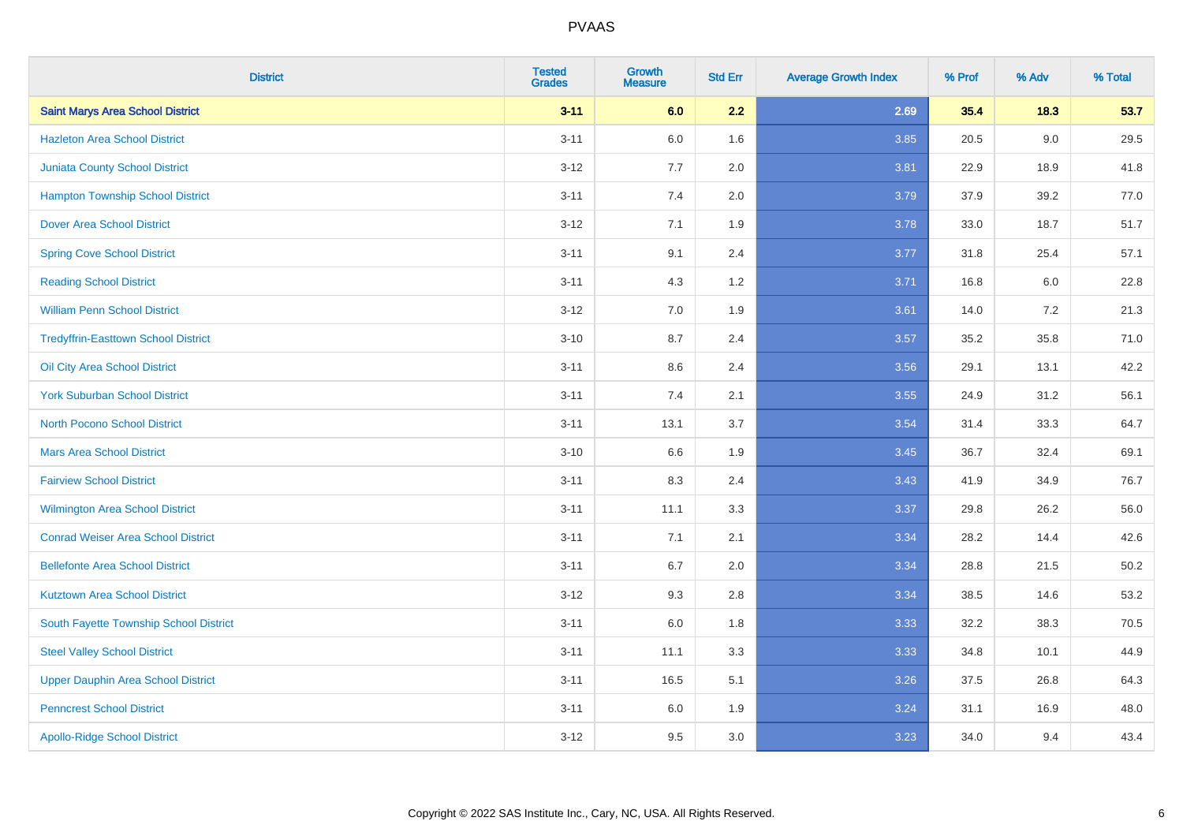| <b>District</b>                            | <b>Tested</b><br><b>Grades</b> | Growth<br><b>Measure</b> | <b>Std Err</b> | <b>Average Growth Index</b> | % Prof | % Adv   | % Total |
|--------------------------------------------|--------------------------------|--------------------------|----------------|-----------------------------|--------|---------|---------|
| <b>Saint Marys Area School District</b>    | $3 - 11$                       | 6.0                      | 2.2            | 2.69                        | 35.4   | 18.3    | 53.7    |
| <b>Hazleton Area School District</b>       | $3 - 11$                       | 6.0                      | 1.6            | 3.85                        | 20.5   | 9.0     | 29.5    |
| <b>Juniata County School District</b>      | $3 - 12$                       | 7.7                      | 2.0            | 3.81                        | 22.9   | 18.9    | 41.8    |
| <b>Hampton Township School District</b>    | $3 - 11$                       | 7.4                      | 2.0            | 3.79                        | 37.9   | 39.2    | 77.0    |
| <b>Dover Area School District</b>          | $3 - 12$                       | 7.1                      | 1.9            | 3.78                        | 33.0   | 18.7    | 51.7    |
| <b>Spring Cove School District</b>         | $3 - 11$                       | 9.1                      | 2.4            | 3.77                        | 31.8   | 25.4    | 57.1    |
| <b>Reading School District</b>             | $3 - 11$                       | 4.3                      | 1.2            | 3.71                        | 16.8   | $6.0\,$ | 22.8    |
| <b>William Penn School District</b>        | $3 - 12$                       | 7.0                      | 1.9            | 3.61                        | 14.0   | 7.2     | 21.3    |
| <b>Tredyffrin-Easttown School District</b> | $3 - 10$                       | 8.7                      | 2.4            | 3.57                        | 35.2   | 35.8    | 71.0    |
| Oil City Area School District              | $3 - 11$                       | 8.6                      | 2.4            | 3.56                        | 29.1   | 13.1    | 42.2    |
| <b>York Suburban School District</b>       | $3 - 11$                       | 7.4                      | 2.1            | 3.55                        | 24.9   | 31.2    | 56.1    |
| <b>North Pocono School District</b>        | $3 - 11$                       | 13.1                     | 3.7            | 3.54                        | 31.4   | 33.3    | 64.7    |
| <b>Mars Area School District</b>           | $3 - 10$                       | 6.6                      | 1.9            | 3.45                        | 36.7   | 32.4    | 69.1    |
| <b>Fairview School District</b>            | $3 - 11$                       | 8.3                      | 2.4            | 3.43                        | 41.9   | 34.9    | 76.7    |
| <b>Wilmington Area School District</b>     | $3 - 11$                       | 11.1                     | 3.3            | 3.37                        | 29.8   | 26.2    | 56.0    |
| <b>Conrad Weiser Area School District</b>  | $3 - 11$                       | 7.1                      | 2.1            | 3.34                        | 28.2   | 14.4    | 42.6    |
| <b>Bellefonte Area School District</b>     | $3 - 11$                       | 6.7                      | 2.0            | 3.34                        | 28.8   | 21.5    | 50.2    |
| <b>Kutztown Area School District</b>       | $3 - 12$                       | 9.3                      | 2.8            | 3.34                        | 38.5   | 14.6    | 53.2    |
| South Fayette Township School District     | $3 - 11$                       | 6.0                      | 1.8            | 3.33                        | 32.2   | 38.3    | 70.5    |
| <b>Steel Valley School District</b>        | $3 - 11$                       | 11.1                     | 3.3            | 3.33                        | 34.8   | 10.1    | 44.9    |
| <b>Upper Dauphin Area School District</b>  | $3 - 11$                       | 16.5                     | 5.1            | 3.26                        | 37.5   | 26.8    | 64.3    |
| <b>Penncrest School District</b>           | $3 - 11$                       | 6.0                      | 1.9            | 3.24                        | 31.1   | 16.9    | 48.0    |
| <b>Apollo-Ridge School District</b>        | $3 - 12$                       | 9.5                      | 3.0            | 3.23                        | 34.0   | 9.4     | 43.4    |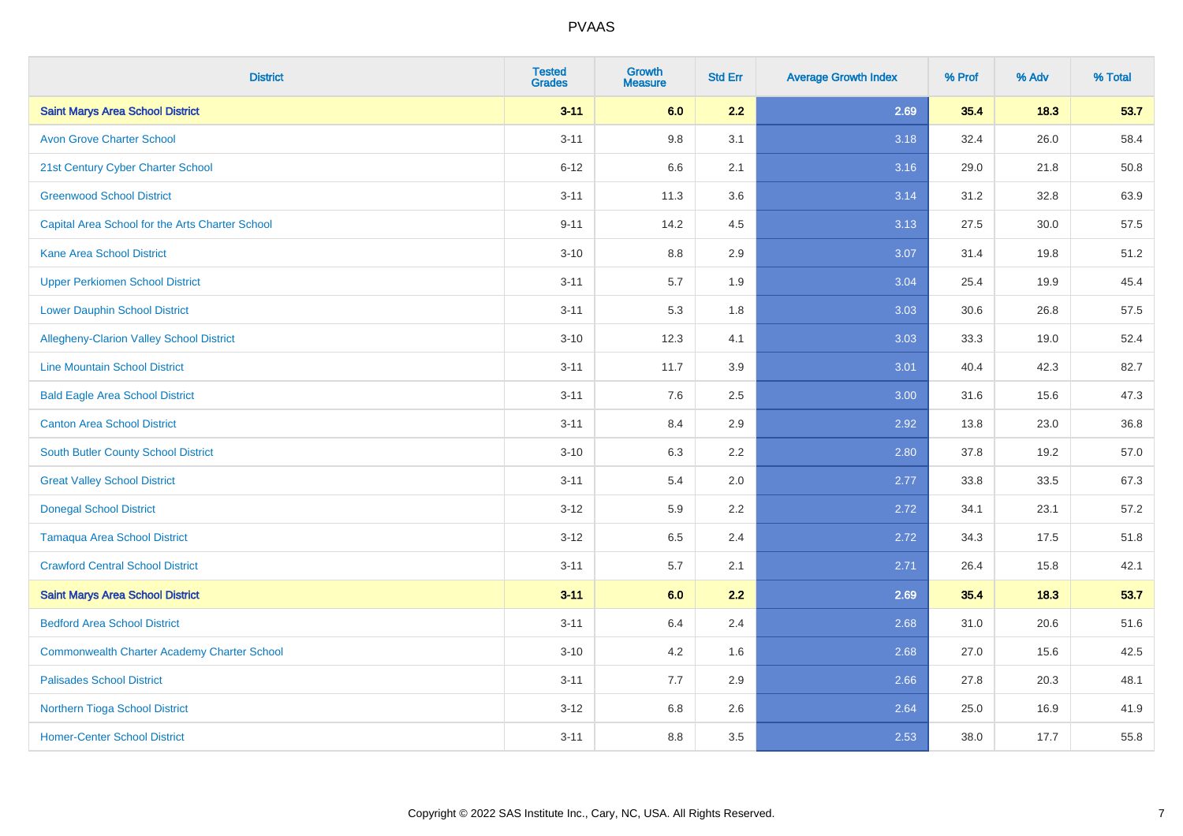| <b>District</b>                                    | <b>Tested</b><br><b>Grades</b> | <b>Growth</b><br><b>Measure</b> | <b>Std Err</b> | <b>Average Growth Index</b> | % Prof | % Adv | % Total |
|----------------------------------------------------|--------------------------------|---------------------------------|----------------|-----------------------------|--------|-------|---------|
| <b>Saint Marys Area School District</b>            | $3 - 11$                       | 6.0                             | 2.2            | 2.69                        | 35.4   | 18.3  | 53.7    |
| <b>Avon Grove Charter School</b>                   | $3 - 11$                       | 9.8                             | 3.1            | 3.18                        | 32.4   | 26.0  | 58.4    |
| 21st Century Cyber Charter School                  | $6 - 12$                       | 6.6                             | 2.1            | 3.16                        | 29.0   | 21.8  | 50.8    |
| <b>Greenwood School District</b>                   | $3 - 11$                       | 11.3                            | 3.6            | 3.14                        | 31.2   | 32.8  | 63.9    |
| Capital Area School for the Arts Charter School    | $9 - 11$                       | 14.2                            | 4.5            | 3.13                        | 27.5   | 30.0  | 57.5    |
| <b>Kane Area School District</b>                   | $3 - 10$                       | 8.8                             | 2.9            | 3.07                        | 31.4   | 19.8  | 51.2    |
| <b>Upper Perkiomen School District</b>             | $3 - 11$                       | 5.7                             | 1.9            | 3.04                        | 25.4   | 19.9  | 45.4    |
| <b>Lower Dauphin School District</b>               | $3 - 11$                       | 5.3                             | 1.8            | 3.03                        | 30.6   | 26.8  | 57.5    |
| <b>Allegheny-Clarion Valley School District</b>    | $3 - 10$                       | 12.3                            | 4.1            | 3.03                        | 33.3   | 19.0  | 52.4    |
| <b>Line Mountain School District</b>               | $3 - 11$                       | 11.7                            | 3.9            | 3.01                        | 40.4   | 42.3  | 82.7    |
| <b>Bald Eagle Area School District</b>             | $3 - 11$                       | 7.6                             | 2.5            | 3.00                        | 31.6   | 15.6  | 47.3    |
| <b>Canton Area School District</b>                 | $3 - 11$                       | 8.4                             | 2.9            | 2.92                        | 13.8   | 23.0  | 36.8    |
| <b>South Butler County School District</b>         | $3 - 10$                       | 6.3                             | 2.2            | 2.80                        | 37.8   | 19.2  | 57.0    |
| <b>Great Valley School District</b>                | $3 - 11$                       | 5.4                             | 2.0            | 2.77                        | 33.8   | 33.5  | 67.3    |
| <b>Donegal School District</b>                     | $3 - 12$                       | 5.9                             | 2.2            | 2.72                        | 34.1   | 23.1  | 57.2    |
| <b>Tamaqua Area School District</b>                | $3 - 12$                       | 6.5                             | 2.4            | 2.72                        | 34.3   | 17.5  | 51.8    |
| <b>Crawford Central School District</b>            | $3 - 11$                       | 5.7                             | 2.1            | 2.71                        | 26.4   | 15.8  | 42.1    |
| <b>Saint Marys Area School District</b>            | $3 - 11$                       | 6.0                             | 2.2            | 2.69                        | 35.4   | 18.3  | 53.7    |
| <b>Bedford Area School District</b>                | $3 - 11$                       | 6.4                             | 2.4            | 2.68                        | 31.0   | 20.6  | 51.6    |
| <b>Commonwealth Charter Academy Charter School</b> | $3 - 10$                       | 4.2                             | 1.6            | 2.68                        | 27.0   | 15.6  | 42.5    |
| <b>Palisades School District</b>                   | $3 - 11$                       | 7.7                             | 2.9            | 2.66                        | 27.8   | 20.3  | 48.1    |
| <b>Northern Tioga School District</b>              | $3 - 12$                       | 6.8                             | 2.6            | 2.64                        | 25.0   | 16.9  | 41.9    |
| <b>Homer-Center School District</b>                | $3 - 11$                       | 8.8                             | 3.5            | 2.53                        | 38.0   | 17.7  | 55.8    |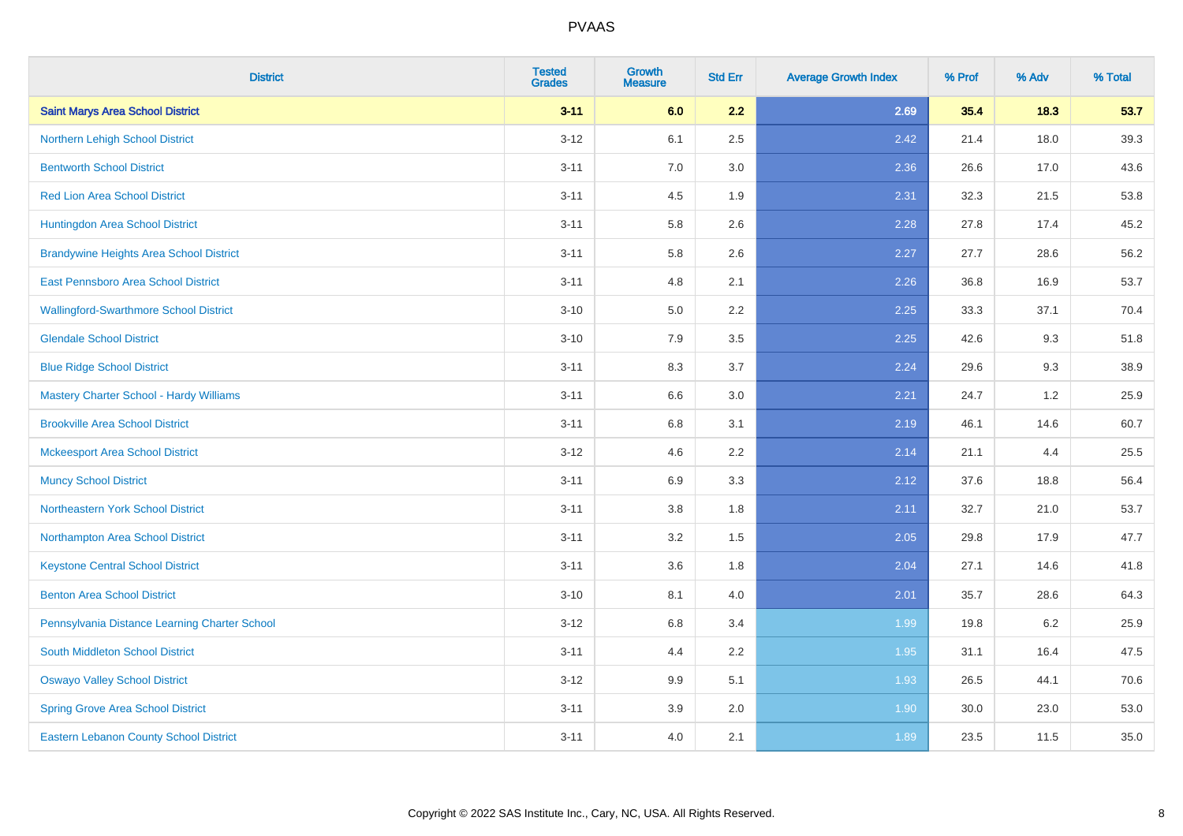| <b>District</b>                                | <b>Tested</b><br><b>Grades</b> | <b>Growth</b><br><b>Measure</b> | <b>Std Err</b> | <b>Average Growth Index</b> | % Prof | % Adv | % Total |
|------------------------------------------------|--------------------------------|---------------------------------|----------------|-----------------------------|--------|-------|---------|
| <b>Saint Marys Area School District</b>        | $3 - 11$                       | 6.0                             | 2.2            | 2.69                        | 35.4   | 18.3  | 53.7    |
| Northern Lehigh School District                | $3 - 12$                       | 6.1                             | 2.5            | 2.42                        | 21.4   | 18.0  | 39.3    |
| <b>Bentworth School District</b>               | $3 - 11$                       | 7.0                             | 3.0            | 2.36                        | 26.6   | 17.0  | 43.6    |
| <b>Red Lion Area School District</b>           | $3 - 11$                       | 4.5                             | 1.9            | 2.31                        | 32.3   | 21.5  | 53.8    |
| Huntingdon Area School District                | $3 - 11$                       | 5.8                             | 2.6            | 2.28                        | 27.8   | 17.4  | 45.2    |
| <b>Brandywine Heights Area School District</b> | $3 - 11$                       | 5.8                             | 2.6            | 2.27                        | 27.7   | 28.6  | 56.2    |
| East Pennsboro Area School District            | $3 - 11$                       | 4.8                             | 2.1            | 2.26                        | 36.8   | 16.9  | 53.7    |
| <b>Wallingford-Swarthmore School District</b>  | $3 - 10$                       | 5.0                             | 2.2            | 2.25                        | 33.3   | 37.1  | 70.4    |
| <b>Glendale School District</b>                | $3 - 10$                       | 7.9                             | 3.5            | 2.25                        | 42.6   | 9.3   | 51.8    |
| <b>Blue Ridge School District</b>              | $3 - 11$                       | 8.3                             | 3.7            | 2.24                        | 29.6   | 9.3   | 38.9    |
| Mastery Charter School - Hardy Williams        | $3 - 11$                       | 6.6                             | 3.0            | 2.21                        | 24.7   | 1.2   | 25.9    |
| <b>Brookville Area School District</b>         | $3 - 11$                       | 6.8                             | 3.1            | 2.19                        | 46.1   | 14.6  | 60.7    |
| <b>Mckeesport Area School District</b>         | $3 - 12$                       | 4.6                             | 2.2            | 2.14                        | 21.1   | 4.4   | 25.5    |
| <b>Muncy School District</b>                   | $3 - 11$                       | 6.9                             | 3.3            | 2.12                        | 37.6   | 18.8  | 56.4    |
| <b>Northeastern York School District</b>       | $3 - 11$                       | 3.8                             | 1.8            | 2.11                        | 32.7   | 21.0  | 53.7    |
| Northampton Area School District               | $3 - 11$                       | 3.2                             | 1.5            | 2.05                        | 29.8   | 17.9  | 47.7    |
| <b>Keystone Central School District</b>        | $3 - 11$                       | 3.6                             | 1.8            | 2.04                        | 27.1   | 14.6  | 41.8    |
| <b>Benton Area School District</b>             | $3 - 10$                       | 8.1                             | 4.0            | 2.01                        | 35.7   | 28.6  | 64.3    |
| Pennsylvania Distance Learning Charter School  | $3 - 12$                       | 6.8                             | 3.4            | 1.99                        | 19.8   | 6.2   | 25.9    |
| <b>South Middleton School District</b>         | $3 - 11$                       | 4.4                             | 2.2            | 1.95                        | 31.1   | 16.4  | 47.5    |
| <b>Oswayo Valley School District</b>           | $3-12$                         | 9.9                             | 5.1            | 1.93                        | 26.5   | 44.1  | 70.6    |
| <b>Spring Grove Area School District</b>       | $3 - 11$                       | 3.9                             | 2.0            | 1.90                        | 30.0   | 23.0  | 53.0    |
| <b>Eastern Lebanon County School District</b>  | $3 - 11$                       | 4.0                             | 2.1            | 1.89                        | 23.5   | 11.5  | 35.0    |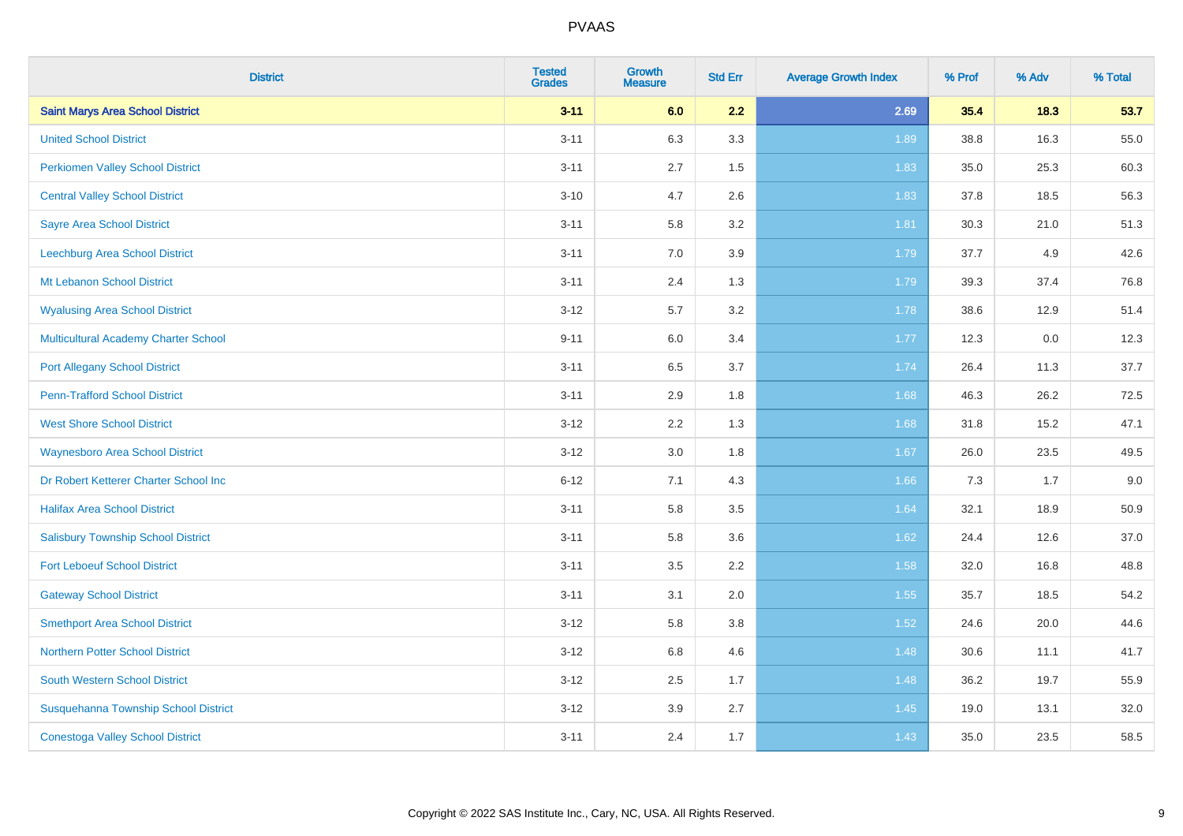| <b>District</b>                             | <b>Tested</b><br><b>Grades</b> | Growth<br><b>Measure</b> | <b>Std Err</b> | <b>Average Growth Index</b> | % Prof | % Adv | % Total |
|---------------------------------------------|--------------------------------|--------------------------|----------------|-----------------------------|--------|-------|---------|
| <b>Saint Marys Area School District</b>     | $3 - 11$                       | 6.0                      | 2.2            | 2.69                        | 35.4   | 18.3  | 53.7    |
| <b>United School District</b>               | $3 - 11$                       | 6.3                      | 3.3            | 1.89                        | 38.8   | 16.3  | 55.0    |
| <b>Perkiomen Valley School District</b>     | $3 - 11$                       | 2.7                      | 1.5            | 1.83                        | 35.0   | 25.3  | 60.3    |
| <b>Central Valley School District</b>       | $3 - 10$                       | 4.7                      | 2.6            | 1.83                        | 37.8   | 18.5  | 56.3    |
| <b>Sayre Area School District</b>           | $3 - 11$                       | 5.8                      | 3.2            | 1.81                        | 30.3   | 21.0  | 51.3    |
| Leechburg Area School District              | $3 - 11$                       | 7.0                      | 3.9            | 1.79                        | 37.7   | 4.9   | 42.6    |
| Mt Lebanon School District                  | $3 - 11$                       | 2.4                      | 1.3            | 1.79                        | 39.3   | 37.4  | 76.8    |
| <b>Wyalusing Area School District</b>       | $3 - 12$                       | 5.7                      | 3.2            | 1.78                        | 38.6   | 12.9  | 51.4    |
| <b>Multicultural Academy Charter School</b> | $9 - 11$                       | 6.0                      | 3.4            | 1.77                        | 12.3   | 0.0   | 12.3    |
| <b>Port Allegany School District</b>        | $3 - 11$                       | $6.5\,$                  | 3.7            | 1.74                        | 26.4   | 11.3  | 37.7    |
| <b>Penn-Trafford School District</b>        | $3 - 11$                       | 2.9                      | 1.8            | 1.68                        | 46.3   | 26.2  | 72.5    |
| <b>West Shore School District</b>           | $3 - 12$                       | 2.2                      | 1.3            | 1.68                        | 31.8   | 15.2  | 47.1    |
| <b>Waynesboro Area School District</b>      | $3 - 12$                       | 3.0                      | 1.8            | 1.67                        | 26.0   | 23.5  | 49.5    |
| Dr Robert Ketterer Charter School Inc       | $6 - 12$                       | 7.1                      | 4.3            | 1.66                        | 7.3    | 1.7   | 9.0     |
| <b>Halifax Area School District</b>         | $3 - 11$                       | 5.8                      | 3.5            | 1.64                        | 32.1   | 18.9  | 50.9    |
| <b>Salisbury Township School District</b>   | $3 - 11$                       | 5.8                      | 3.6            | 1.62                        | 24.4   | 12.6  | 37.0    |
| <b>Fort Leboeuf School District</b>         | $3 - 11$                       | 3.5                      | 2.2            | 1.58                        | 32.0   | 16.8  | 48.8    |
| <b>Gateway School District</b>              | $3 - 11$                       | 3.1                      | 2.0            | 1.55                        | 35.7   | 18.5  | 54.2    |
| <b>Smethport Area School District</b>       | $3 - 12$                       | 5.8                      | 3.8            | $1.52$                      | 24.6   | 20.0  | 44.6    |
| <b>Northern Potter School District</b>      | $3 - 12$                       | 6.8                      | 4.6            | 1.48                        | 30.6   | 11.1  | 41.7    |
| South Western School District               | $3 - 12$                       | 2.5                      | 1.7            | 1.48                        | 36.2   | 19.7  | 55.9    |
| Susquehanna Township School District        | $3 - 12$                       | 3.9                      | 2.7            | 1.45                        | 19.0   | 13.1  | 32.0    |
| <b>Conestoga Valley School District</b>     | $3 - 11$                       | 2.4                      | 1.7            | 1.43                        | 35.0   | 23.5  | 58.5    |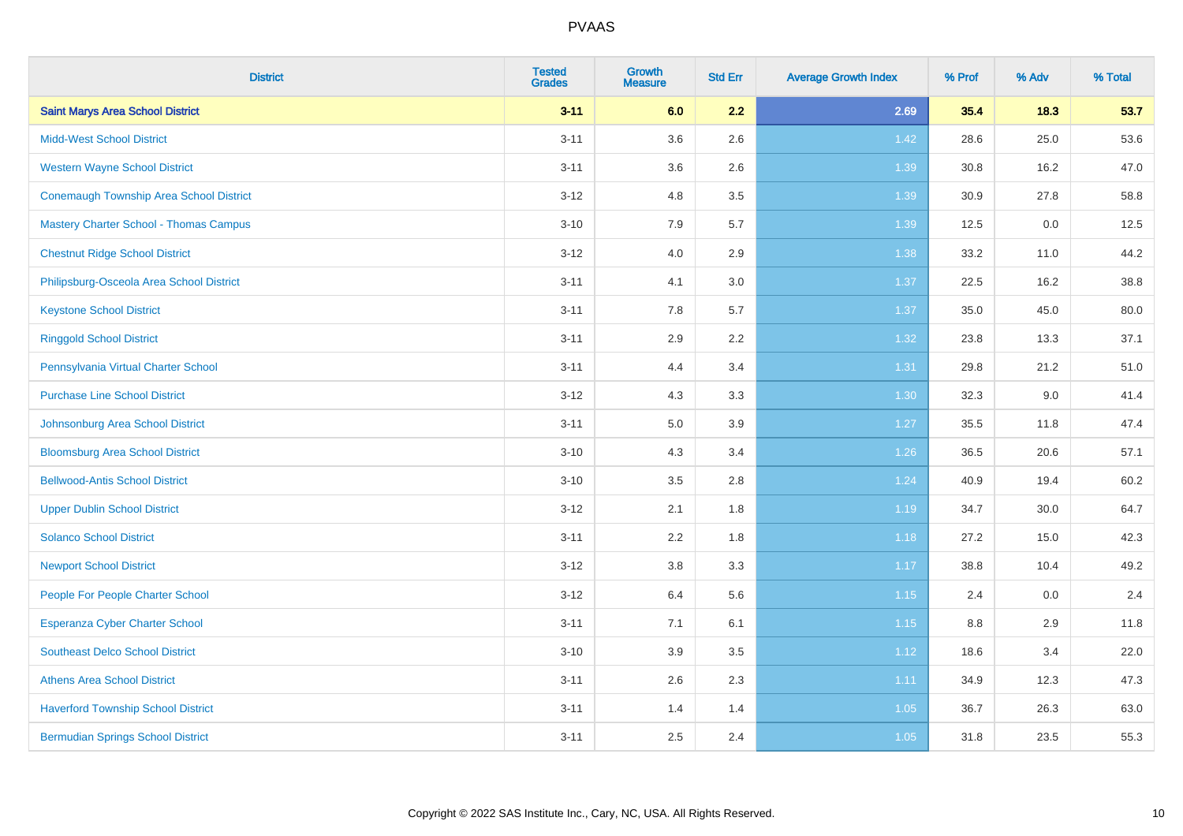| <b>District</b>                                | <b>Tested</b><br><b>Grades</b> | <b>Growth</b><br><b>Measure</b> | <b>Std Err</b> | <b>Average Growth Index</b> | % Prof | % Adv | % Total |
|------------------------------------------------|--------------------------------|---------------------------------|----------------|-----------------------------|--------|-------|---------|
| <b>Saint Marys Area School District</b>        | $3 - 11$                       | 6.0                             | 2.2            | 2.69                        | 35.4   | 18.3  | 53.7    |
| <b>Midd-West School District</b>               | $3 - 11$                       | 3.6                             | 2.6            | 1.42                        | 28.6   | 25.0  | 53.6    |
| <b>Western Wayne School District</b>           | $3 - 11$                       | 3.6                             | 2.6            | 1.39                        | 30.8   | 16.2  | 47.0    |
| <b>Conemaugh Township Area School District</b> | $3 - 12$                       | 4.8                             | 3.5            | 1.39                        | 30.9   | 27.8  | 58.8    |
| <b>Mastery Charter School - Thomas Campus</b>  | $3 - 10$                       | 7.9                             | 5.7            | 1.39                        | 12.5   | 0.0   | 12.5    |
| <b>Chestnut Ridge School District</b>          | $3 - 12$                       | 4.0                             | 2.9            | 1.38                        | 33.2   | 11.0  | 44.2    |
| Philipsburg-Osceola Area School District       | $3 - 11$                       | 4.1                             | 3.0            | 1.37                        | 22.5   | 16.2  | 38.8    |
| <b>Keystone School District</b>                | $3 - 11$                       | 7.8                             | 5.7            | 1.37                        | 35.0   | 45.0  | 80.0    |
| <b>Ringgold School District</b>                | $3 - 11$                       | 2.9                             | 2.2            | 1.32                        | 23.8   | 13.3  | 37.1    |
| Pennsylvania Virtual Charter School            | $3 - 11$                       | 4.4                             | 3.4            | 1.31                        | 29.8   | 21.2  | 51.0    |
| <b>Purchase Line School District</b>           | $3 - 12$                       | 4.3                             | 3.3            | 1.30                        | 32.3   | 9.0   | 41.4    |
| Johnsonburg Area School District               | $3 - 11$                       | $5.0\,$                         | 3.9            | 1.27                        | 35.5   | 11.8  | 47.4    |
| <b>Bloomsburg Area School District</b>         | $3 - 10$                       | 4.3                             | 3.4            | $1.26$                      | 36.5   | 20.6  | 57.1    |
| <b>Bellwood-Antis School District</b>          | $3 - 10$                       | 3.5                             | 2.8            | 1.24                        | 40.9   | 19.4  | 60.2    |
| <b>Upper Dublin School District</b>            | $3 - 12$                       | 2.1                             | 1.8            | 1.19                        | 34.7   | 30.0  | 64.7    |
| <b>Solanco School District</b>                 | $3 - 11$                       | 2.2                             | 1.8            | 1.18                        | 27.2   | 15.0  | 42.3    |
| <b>Newport School District</b>                 | $3 - 12$                       | 3.8                             | 3.3            | 1.17                        | 38.8   | 10.4  | 49.2    |
| People For People Charter School               | $3 - 12$                       | 6.4                             | 5.6            | 1.15                        | 2.4    | 0.0   | 2.4     |
| <b>Esperanza Cyber Charter School</b>          | $3 - 11$                       | 7.1                             | 6.1            | 1.15                        | 8.8    | 2.9   | 11.8    |
| <b>Southeast Delco School District</b>         | $3 - 10$                       | 3.9                             | 3.5            | 1.12                        | 18.6   | 3.4   | 22.0    |
| <b>Athens Area School District</b>             | $3 - 11$                       | 2.6                             | 2.3            | 1.11                        | 34.9   | 12.3  | 47.3    |
| <b>Haverford Township School District</b>      | $3 - 11$                       | 1.4                             | 1.4            | 1.05                        | 36.7   | 26.3  | 63.0    |
| <b>Bermudian Springs School District</b>       | $3 - 11$                       | 2.5                             | 2.4            | 1.05                        | 31.8   | 23.5  | 55.3    |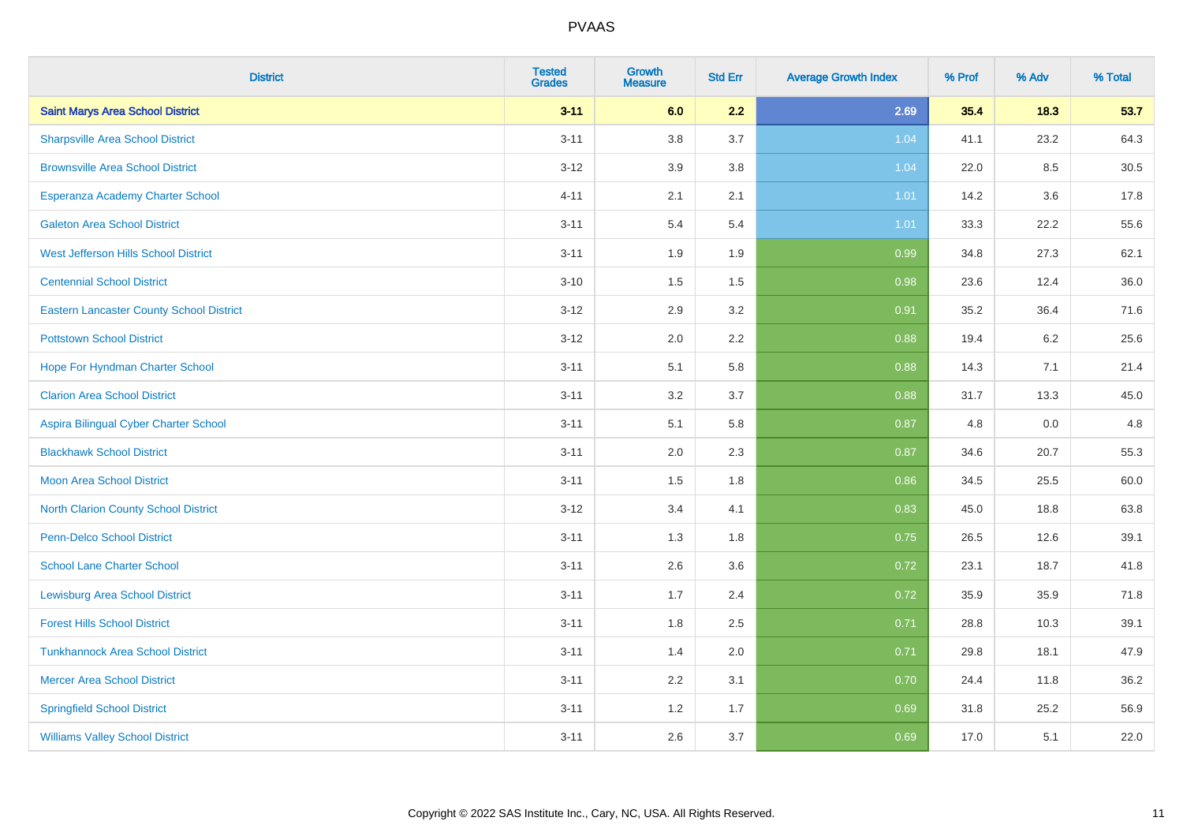| <b>District</b>                                 | <b>Tested</b><br><b>Grades</b> | <b>Growth</b><br><b>Measure</b> | <b>Std Err</b> | <b>Average Growth Index</b> | % Prof | % Adv | % Total |
|-------------------------------------------------|--------------------------------|---------------------------------|----------------|-----------------------------|--------|-------|---------|
| <b>Saint Marys Area School District</b>         | $3 - 11$                       | 6.0                             | 2.2            | 2.69                        | 35.4   | 18.3  | 53.7    |
| <b>Sharpsville Area School District</b>         | $3 - 11$                       | 3.8                             | 3.7            | 1.04                        | 41.1   | 23.2  | 64.3    |
| <b>Brownsville Area School District</b>         | $3 - 12$                       | 3.9                             | 3.8            | 1.04                        | 22.0   | 8.5   | 30.5    |
| Esperanza Academy Charter School                | $4 - 11$                       | 2.1                             | 2.1            | 1.01                        | 14.2   | 3.6   | 17.8    |
| <b>Galeton Area School District</b>             | $3 - 11$                       | 5.4                             | 5.4            | 1.01                        | 33.3   | 22.2  | 55.6    |
| West Jefferson Hills School District            | $3 - 11$                       | 1.9                             | 1.9            | 0.99                        | 34.8   | 27.3  | 62.1    |
| <b>Centennial School District</b>               | $3 - 10$                       | 1.5                             | $1.5\,$        | 0.98                        | 23.6   | 12.4  | 36.0    |
| <b>Eastern Lancaster County School District</b> | $3 - 12$                       | 2.9                             | 3.2            | 0.91                        | 35.2   | 36.4  | 71.6    |
| <b>Pottstown School District</b>                | $3 - 12$                       | 2.0                             | 2.2            | 0.88                        | 19.4   | 6.2   | 25.6    |
| Hope For Hyndman Charter School                 | $3 - 11$                       | 5.1                             | 5.8            | 0.88                        | 14.3   | 7.1   | 21.4    |
| <b>Clarion Area School District</b>             | $3 - 11$                       | 3.2                             | 3.7            | 0.88                        | 31.7   | 13.3  | 45.0    |
| Aspira Bilingual Cyber Charter School           | $3 - 11$                       | 5.1                             | 5.8            | 0.87                        | 4.8    | 0.0   | 4.8     |
| <b>Blackhawk School District</b>                | $3 - 11$                       | 2.0                             | 2.3            | 0.87                        | 34.6   | 20.7  | 55.3    |
| <b>Moon Area School District</b>                | $3 - 11$                       | 1.5                             | 1.8            | 0.86                        | 34.5   | 25.5  | 60.0    |
| <b>North Clarion County School District</b>     | $3 - 12$                       | 3.4                             | 4.1            | 0.83                        | 45.0   | 18.8  | 63.8    |
| Penn-Delco School District                      | $3 - 11$                       | 1.3                             | 1.8            | 0.75                        | 26.5   | 12.6  | 39.1    |
| <b>School Lane Charter School</b>               | $3 - 11$                       | 2.6                             | 3.6            | 0.72                        | 23.1   | 18.7  | 41.8    |
| <b>Lewisburg Area School District</b>           | $3 - 11$                       | 1.7                             | 2.4            | 0.72                        | 35.9   | 35.9  | 71.8    |
| <b>Forest Hills School District</b>             | $3 - 11$                       | 1.8                             | 2.5            | 0.71                        | 28.8   | 10.3  | 39.1    |
| <b>Tunkhannock Area School District</b>         | $3 - 11$                       | 1.4                             | 2.0            | 0.71                        | 29.8   | 18.1  | 47.9    |
| <b>Mercer Area School District</b>              | $3 - 11$                       | 2.2                             | 3.1            | 0.70                        | 24.4   | 11.8  | 36.2    |
| <b>Springfield School District</b>              | $3 - 11$                       | 1.2                             | 1.7            | 0.69                        | 31.8   | 25.2  | 56.9    |
| <b>Williams Valley School District</b>          | $3 - 11$                       | 2.6                             | 3.7            | 0.69                        | 17.0   | 5.1   | 22.0    |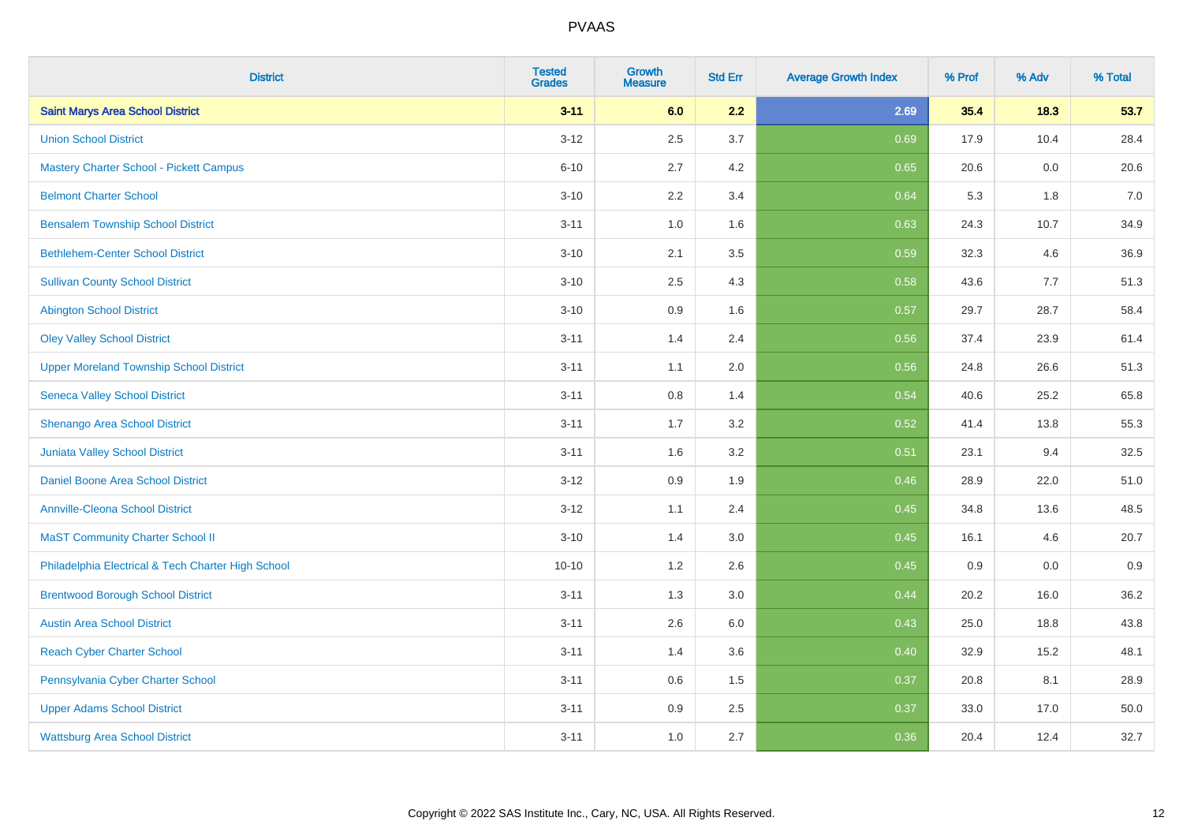| <b>District</b>                                    | <b>Tested</b><br><b>Grades</b> | <b>Growth</b><br><b>Measure</b> | <b>Std Err</b> | <b>Average Growth Index</b> | % Prof | % Adv | % Total |
|----------------------------------------------------|--------------------------------|---------------------------------|----------------|-----------------------------|--------|-------|---------|
| <b>Saint Marys Area School District</b>            | $3 - 11$                       | 6.0                             | 2.2            | 2.69                        | 35.4   | 18.3  | 53.7    |
| <b>Union School District</b>                       | $3 - 12$                       | 2.5                             | 3.7            | 0.69                        | 17.9   | 10.4  | 28.4    |
| <b>Mastery Charter School - Pickett Campus</b>     | $6 - 10$                       | 2.7                             | 4.2            | 0.65                        | 20.6   | 0.0   | 20.6    |
| <b>Belmont Charter School</b>                      | $3 - 10$                       | 2.2                             | 3.4            | 0.64                        | 5.3    | 1.8   | $7.0\,$ |
| <b>Bensalem Township School District</b>           | $3 - 11$                       | 1.0                             | 1.6            | 0.63                        | 24.3   | 10.7  | 34.9    |
| <b>Bethlehem-Center School District</b>            | $3 - 10$                       | 2.1                             | 3.5            | 0.59                        | 32.3   | 4.6   | 36.9    |
| <b>Sullivan County School District</b>             | $3 - 10$                       | 2.5                             | 4.3            | 0.58                        | 43.6   | 7.7   | 51.3    |
| <b>Abington School District</b>                    | $3 - 10$                       | 0.9                             | 1.6            | 0.57                        | 29.7   | 28.7  | 58.4    |
| <b>Oley Valley School District</b>                 | $3 - 11$                       | 1.4                             | 2.4            | 0.56                        | 37.4   | 23.9  | 61.4    |
| <b>Upper Moreland Township School District</b>     | $3 - 11$                       | 1.1                             | 2.0            | 0.56                        | 24.8   | 26.6  | 51.3    |
| <b>Seneca Valley School District</b>               | $3 - 11$                       | 0.8                             | 1.4            | 0.54                        | 40.6   | 25.2  | 65.8    |
| Shenango Area School District                      | $3 - 11$                       | 1.7                             | 3.2            | 0.52                        | 41.4   | 13.8  | 55.3    |
| Juniata Valley School District                     | $3 - 11$                       | 1.6                             | 3.2            | 0.51                        | 23.1   | 9.4   | 32.5    |
| Daniel Boone Area School District                  | $3 - 12$                       | 0.9                             | 1.9            | 0.46                        | 28.9   | 22.0  | 51.0    |
| <b>Annville-Cleona School District</b>             | $3 - 12$                       | 1.1                             | 2.4            | 0.45                        | 34.8   | 13.6  | 48.5    |
| <b>MaST Community Charter School II</b>            | $3 - 10$                       | 1.4                             | 3.0            | 0.45                        | 16.1   | 4.6   | 20.7    |
| Philadelphia Electrical & Tech Charter High School | $10 - 10$                      | 1.2                             | 2.6            | 0.45                        | 0.9    | 0.0   | 0.9     |
| <b>Brentwood Borough School District</b>           | $3 - 11$                       | 1.3                             | 3.0            | 0.44                        | 20.2   | 16.0  | 36.2    |
| <b>Austin Area School District</b>                 | $3 - 11$                       | 2.6                             | 6.0            | 0.43                        | 25.0   | 18.8  | 43.8    |
| <b>Reach Cyber Charter School</b>                  | $3 - 11$                       | 1.4                             | 3.6            | 0.40                        | 32.9   | 15.2  | 48.1    |
| Pennsylvania Cyber Charter School                  | $3 - 11$                       | 0.6                             | 1.5            | 0.37                        | 20.8   | 8.1   | 28.9    |
| <b>Upper Adams School District</b>                 | $3 - 11$                       | 0.9                             | 2.5            | 0.37                        | 33.0   | 17.0  | 50.0    |
| <b>Wattsburg Area School District</b>              | $3 - 11$                       | 1.0                             | 2.7            | 0.36                        | 20.4   | 12.4  | 32.7    |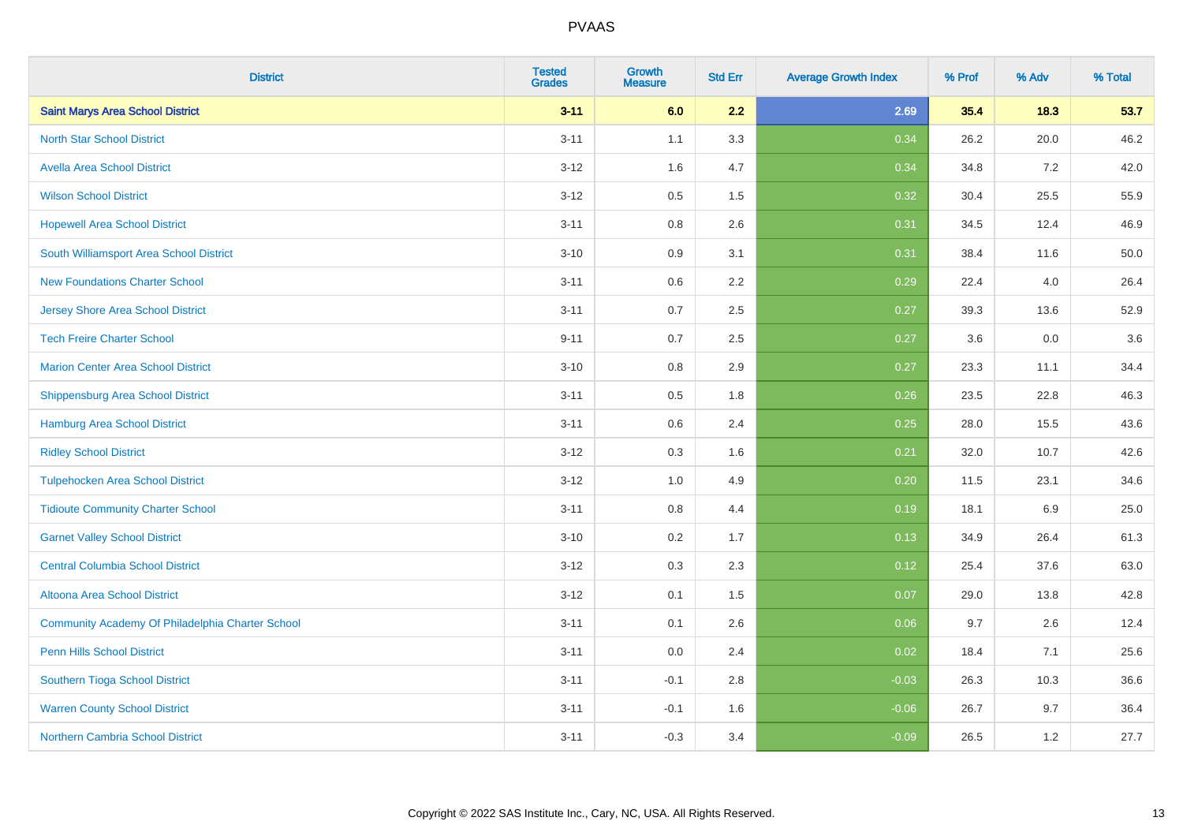| <b>District</b>                                  | <b>Tested</b><br><b>Grades</b> | <b>Growth</b><br><b>Measure</b> | <b>Std Err</b> | <b>Average Growth Index</b> | % Prof | % Adv | % Total |
|--------------------------------------------------|--------------------------------|---------------------------------|----------------|-----------------------------|--------|-------|---------|
| <b>Saint Marys Area School District</b>          | $3 - 11$                       | 6.0                             | 2.2            | 2.69                        | 35.4   | 18.3  | 53.7    |
| <b>North Star School District</b>                | $3 - 11$                       | 1.1                             | 3.3            | 0.34                        | 26.2   | 20.0  | 46.2    |
| <b>Avella Area School District</b>               | $3 - 12$                       | 1.6                             | 4.7            | 0.34                        | 34.8   | 7.2   | 42.0    |
| <b>Wilson School District</b>                    | $3 - 12$                       | 0.5                             | 1.5            | 0.32                        | 30.4   | 25.5  | 55.9    |
| <b>Hopewell Area School District</b>             | $3 - 11$                       | 0.8                             | 2.6            | 0.31                        | 34.5   | 12.4  | 46.9    |
| South Williamsport Area School District          | $3 - 10$                       | 0.9                             | 3.1            | 0.31                        | 38.4   | 11.6  | 50.0    |
| <b>New Foundations Charter School</b>            | $3 - 11$                       | 0.6                             | 2.2            | 0.29                        | 22.4   | 4.0   | 26.4    |
| <b>Jersey Shore Area School District</b>         | $3 - 11$                       | 0.7                             | 2.5            | 0.27                        | 39.3   | 13.6  | 52.9    |
| <b>Tech Freire Charter School</b>                | $9 - 11$                       | 0.7                             | 2.5            | 0.27                        | 3.6    | 0.0   | 3.6     |
| <b>Marion Center Area School District</b>        | $3 - 10$                       | 0.8                             | 2.9            | 0.27                        | 23.3   | 11.1  | 34.4    |
| <b>Shippensburg Area School District</b>         | $3 - 11$                       | 0.5                             | 1.8            | 0.26                        | 23.5   | 22.8  | 46.3    |
| <b>Hamburg Area School District</b>              | $3 - 11$                       | 0.6                             | 2.4            | 0.25                        | 28.0   | 15.5  | 43.6    |
| <b>Ridley School District</b>                    | $3 - 12$                       | 0.3                             | 1.6            | 0.21                        | 32.0   | 10.7  | 42.6    |
| <b>Tulpehocken Area School District</b>          | $3 - 12$                       | 1.0                             | 4.9            | 0.20                        | 11.5   | 23.1  | 34.6    |
| <b>Tidioute Community Charter School</b>         | $3 - 11$                       | 0.8                             | 4.4            | 0.19                        | 18.1   | 6.9   | 25.0    |
| <b>Garnet Valley School District</b>             | $3 - 10$                       | 0.2                             | 1.7            | 0.13                        | 34.9   | 26.4  | 61.3    |
| <b>Central Columbia School District</b>          | $3 - 12$                       | 0.3                             | 2.3            | 0.12                        | 25.4   | 37.6  | 63.0    |
| Altoona Area School District                     | $3 - 12$                       | 0.1                             | 1.5            | 0.07                        | 29.0   | 13.8  | 42.8    |
| Community Academy Of Philadelphia Charter School | $3 - 11$                       | 0.1                             | 2.6            | 0.06                        | 9.7    | 2.6   | 12.4    |
| Penn Hills School District                       | $3 - 11$                       | 0.0                             | 2.4            | 0.02                        | 18.4   | 7.1   | 25.6    |
| Southern Tioga School District                   | $3 - 11$                       | $-0.1$                          | 2.8            | $-0.03$                     | 26.3   | 10.3  | 36.6    |
| <b>Warren County School District</b>             | $3 - 11$                       | $-0.1$                          | 1.6            | $-0.06$                     | 26.7   | 9.7   | 36.4    |
| <b>Northern Cambria School District</b>          | $3 - 11$                       | $-0.3$                          | 3.4            | $-0.09$                     | 26.5   | 1.2   | 27.7    |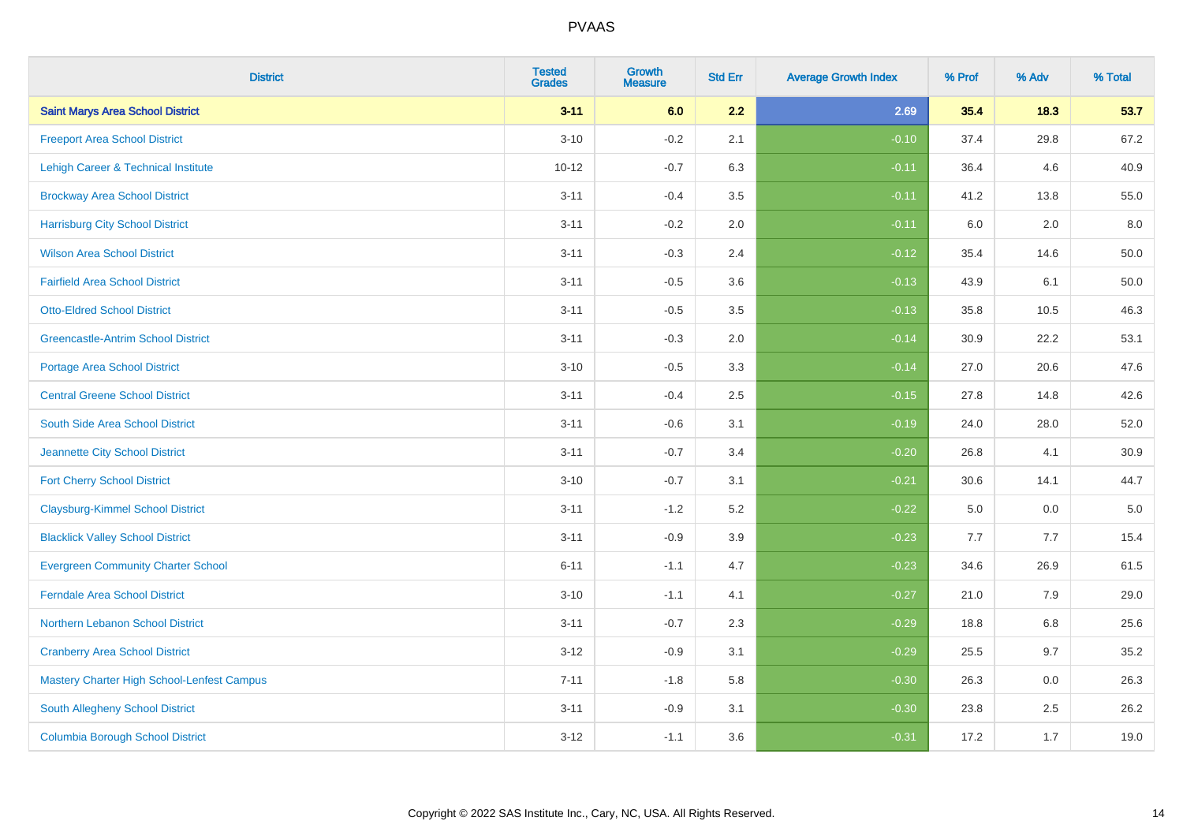| <b>District</b>                            | <b>Tested</b><br><b>Grades</b> | <b>Growth</b><br><b>Measure</b> | <b>Std Err</b> | <b>Average Growth Index</b> | % Prof | % Adv | % Total  |
|--------------------------------------------|--------------------------------|---------------------------------|----------------|-----------------------------|--------|-------|----------|
| <b>Saint Marys Area School District</b>    | $3 - 11$                       | 6.0                             | 2.2            | 2.69                        | 35.4   | 18.3  | 53.7     |
| <b>Freeport Area School District</b>       | $3 - 10$                       | $-0.2$                          | 2.1            | $-0.10$                     | 37.4   | 29.8  | 67.2     |
| Lehigh Career & Technical Institute        | $10 - 12$                      | $-0.7$                          | 6.3            | $-0.11$                     | 36.4   | 4.6   | 40.9     |
| <b>Brockway Area School District</b>       | $3 - 11$                       | $-0.4$                          | 3.5            | $-0.11$                     | 41.2   | 13.8  | 55.0     |
| <b>Harrisburg City School District</b>     | $3 - 11$                       | $-0.2$                          | 2.0            | $-0.11$                     | 6.0    | 2.0   | 8.0      |
| <b>Wilson Area School District</b>         | $3 - 11$                       | $-0.3$                          | 2.4            | $-0.12$                     | 35.4   | 14.6  | 50.0     |
| <b>Fairfield Area School District</b>      | $3 - 11$                       | $-0.5$                          | 3.6            | $-0.13$                     | 43.9   | 6.1   | $50.0\,$ |
| <b>Otto-Eldred School District</b>         | $3 - 11$                       | $-0.5$                          | 3.5            | $-0.13$                     | 35.8   | 10.5  | 46.3     |
| <b>Greencastle-Antrim School District</b>  | $3 - 11$                       | $-0.3$                          | 2.0            | $-0.14$                     | 30.9   | 22.2  | 53.1     |
| <b>Portage Area School District</b>        | $3 - 10$                       | $-0.5$                          | 3.3            | $-0.14$                     | 27.0   | 20.6  | 47.6     |
| <b>Central Greene School District</b>      | $3 - 11$                       | $-0.4$                          | 2.5            | $-0.15$                     | 27.8   | 14.8  | 42.6     |
| South Side Area School District            | $3 - 11$                       | $-0.6$                          | 3.1            | $-0.19$                     | 24.0   | 28.0  | 52.0     |
| Jeannette City School District             | $3 - 11$                       | $-0.7$                          | 3.4            | $-0.20$                     | 26.8   | 4.1   | 30.9     |
| <b>Fort Cherry School District</b>         | $3 - 10$                       | $-0.7$                          | 3.1            | $-0.21$                     | 30.6   | 14.1  | 44.7     |
| <b>Claysburg-Kimmel School District</b>    | $3 - 11$                       | $-1.2$                          | 5.2            | $-0.22$                     | 5.0    | 0.0   | $5.0\,$  |
| <b>Blacklick Valley School District</b>    | $3 - 11$                       | $-0.9$                          | 3.9            | $-0.23$                     | 7.7    | 7.7   | 15.4     |
| <b>Evergreen Community Charter School</b>  | $6 - 11$                       | $-1.1$                          | 4.7            | $-0.23$                     | 34.6   | 26.9  | 61.5     |
| <b>Ferndale Area School District</b>       | $3 - 10$                       | $-1.1$                          | 4.1            | $-0.27$                     | 21.0   | 7.9   | 29.0     |
| Northern Lebanon School District           | $3 - 11$                       | $-0.7$                          | 2.3            | $-0.29$                     | 18.8   | 6.8   | 25.6     |
| <b>Cranberry Area School District</b>      | $3 - 12$                       | $-0.9$                          | 3.1            | $-0.29$                     | 25.5   | 9.7   | 35.2     |
| Mastery Charter High School-Lenfest Campus | $7 - 11$                       | $-1.8$                          | 5.8            | $-0.30$                     | 26.3   | 0.0   | 26.3     |
| South Allegheny School District            | $3 - 11$                       | $-0.9$                          | 3.1            | $-0.30$                     | 23.8   | 2.5   | 26.2     |
| <b>Columbia Borough School District</b>    | $3 - 12$                       | $-1.1$                          | 3.6            | $-0.31$                     | 17.2   | 1.7   | 19.0     |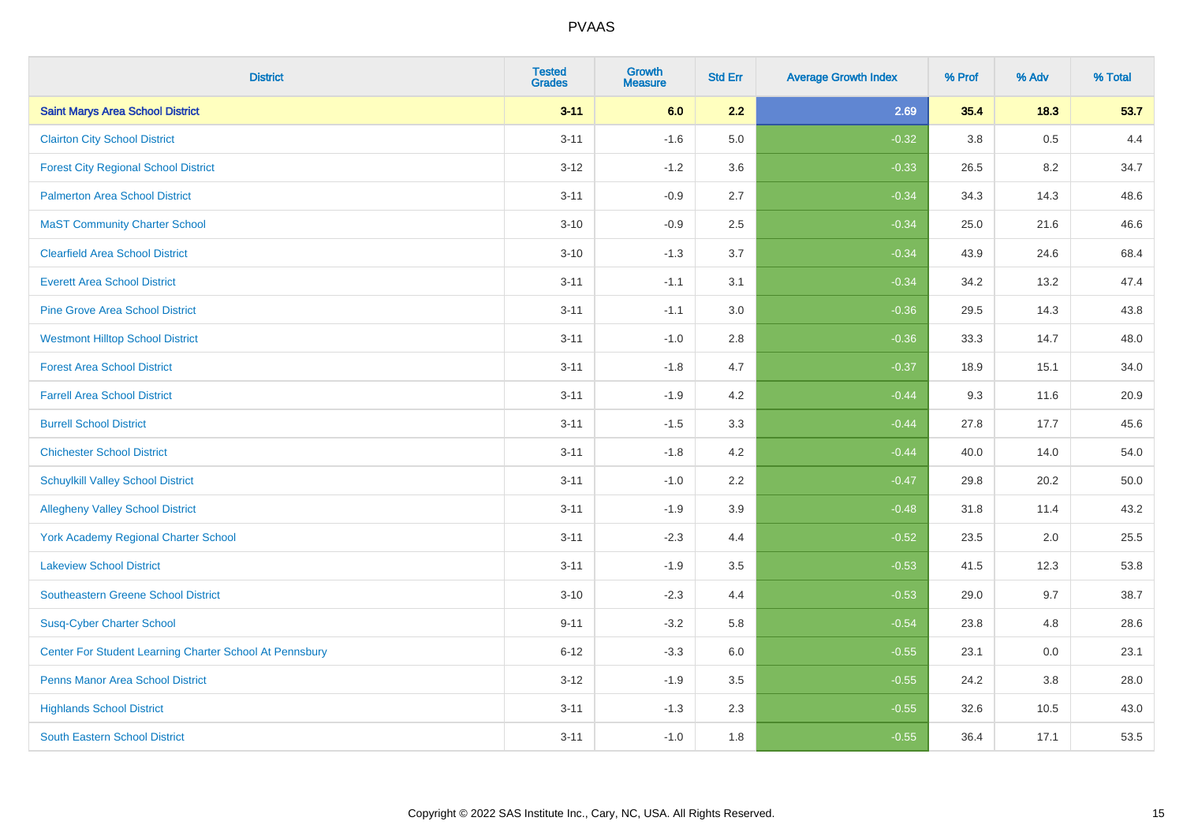| <b>District</b>                                         | <b>Tested</b><br><b>Grades</b> | <b>Growth</b><br><b>Measure</b> | <b>Std Err</b> | <b>Average Growth Index</b> | % Prof | % Adv | % Total |
|---------------------------------------------------------|--------------------------------|---------------------------------|----------------|-----------------------------|--------|-------|---------|
| <b>Saint Marys Area School District</b>                 | $3 - 11$                       | 6.0                             | 2.2            | 2.69                        | 35.4   | 18.3  | 53.7    |
| <b>Clairton City School District</b>                    | $3 - 11$                       | $-1.6$                          | 5.0            | $-0.32$                     | 3.8    | 0.5   | 4.4     |
| <b>Forest City Regional School District</b>             | $3 - 12$                       | $-1.2$                          | 3.6            | $-0.33$                     | 26.5   | 8.2   | 34.7    |
| <b>Palmerton Area School District</b>                   | $3 - 11$                       | $-0.9$                          | 2.7            | $-0.34$                     | 34.3   | 14.3  | 48.6    |
| <b>MaST Community Charter School</b>                    | $3 - 10$                       | $-0.9$                          | 2.5            | $-0.34$                     | 25.0   | 21.6  | 46.6    |
| <b>Clearfield Area School District</b>                  | $3 - 10$                       | $-1.3$                          | 3.7            | $-0.34$                     | 43.9   | 24.6  | 68.4    |
| <b>Everett Area School District</b>                     | $3 - 11$                       | $-1.1$                          | 3.1            | $-0.34$                     | 34.2   | 13.2  | 47.4    |
| <b>Pine Grove Area School District</b>                  | $3 - 11$                       | $-1.1$                          | 3.0            | $-0.36$                     | 29.5   | 14.3  | 43.8    |
| <b>Westmont Hilltop School District</b>                 | $3 - 11$                       | $-1.0$                          | 2.8            | $-0.36$                     | 33.3   | 14.7  | 48.0    |
| <b>Forest Area School District</b>                      | $3 - 11$                       | $-1.8$                          | 4.7            | $-0.37$                     | 18.9   | 15.1  | 34.0    |
| <b>Farrell Area School District</b>                     | $3 - 11$                       | $-1.9$                          | 4.2            | $-0.44$                     | 9.3    | 11.6  | 20.9    |
| <b>Burrell School District</b>                          | $3 - 11$                       | $-1.5$                          | 3.3            | $-0.44$                     | 27.8   | 17.7  | 45.6    |
| <b>Chichester School District</b>                       | $3 - 11$                       | $-1.8$                          | 4.2            | $-0.44$                     | 40.0   | 14.0  | 54.0    |
| <b>Schuylkill Valley School District</b>                | $3 - 11$                       | $-1.0$                          | 2.2            | $-0.47$                     | 29.8   | 20.2  | 50.0    |
| <b>Allegheny Valley School District</b>                 | $3 - 11$                       | $-1.9$                          | 3.9            | $-0.48$                     | 31.8   | 11.4  | 43.2    |
| York Academy Regional Charter School                    | $3 - 11$                       | $-2.3$                          | 4.4            | $-0.52$                     | 23.5   | 2.0   | 25.5    |
| <b>Lakeview School District</b>                         | $3 - 11$                       | $-1.9$                          | 3.5            | $-0.53$                     | 41.5   | 12.3  | 53.8    |
| <b>Southeastern Greene School District</b>              | $3 - 10$                       | $-2.3$                          | 4.4            | $-0.53$                     | 29.0   | 9.7   | 38.7    |
| <b>Susq-Cyber Charter School</b>                        | $9 - 11$                       | $-3.2$                          | 5.8            | $-0.54$                     | 23.8   | 4.8   | 28.6    |
| Center For Student Learning Charter School At Pennsbury | $6 - 12$                       | $-3.3$                          | 6.0            | $-0.55$                     | 23.1   | 0.0   | 23.1    |
| <b>Penns Manor Area School District</b>                 | $3 - 12$                       | $-1.9$                          | 3.5            | $-0.55$                     | 24.2   | 3.8   | 28.0    |
| <b>Highlands School District</b>                        | $3 - 11$                       | $-1.3$                          | 2.3            | $-0.55$                     | 32.6   | 10.5  | 43.0    |
| <b>South Eastern School District</b>                    | $3 - 11$                       | $-1.0$                          | 1.8            | $-0.55$                     | 36.4   | 17.1  | 53.5    |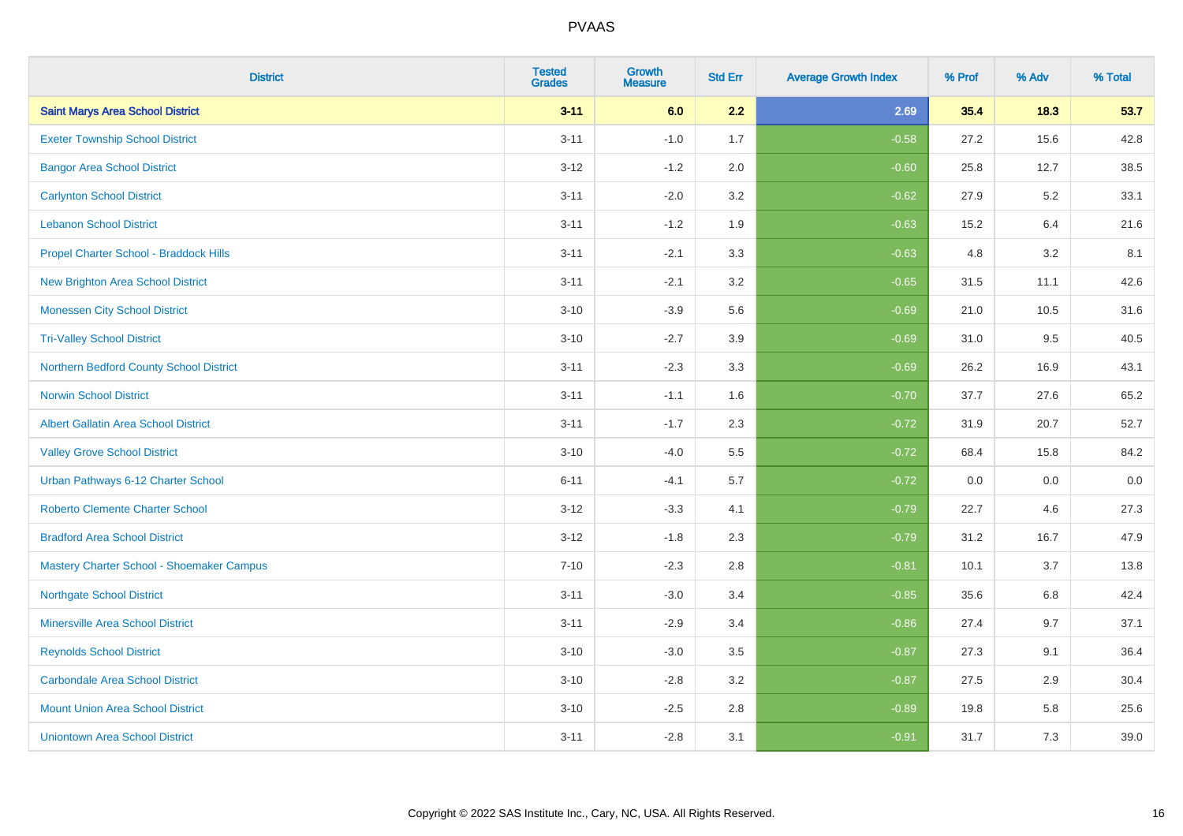| <b>District</b>                             | <b>Tested</b><br><b>Grades</b> | <b>Growth</b><br><b>Measure</b> | <b>Std Err</b> | <b>Average Growth Index</b> | % Prof | % Adv | % Total |
|---------------------------------------------|--------------------------------|---------------------------------|----------------|-----------------------------|--------|-------|---------|
| <b>Saint Marys Area School District</b>     | $3 - 11$                       | 6.0                             | 2.2            | 2.69                        | 35.4   | 18.3  | 53.7    |
| <b>Exeter Township School District</b>      | $3 - 11$                       | $-1.0$                          | 1.7            | $-0.58$                     | 27.2   | 15.6  | 42.8    |
| <b>Bangor Area School District</b>          | $3 - 12$                       | $-1.2$                          | 2.0            | $-0.60$                     | 25.8   | 12.7  | 38.5    |
| <b>Carlynton School District</b>            | $3 - 11$                       | $-2.0$                          | 3.2            | $-0.62$                     | 27.9   | 5.2   | 33.1    |
| <b>Lebanon School District</b>              | $3 - 11$                       | $-1.2$                          | 1.9            | $-0.63$                     | 15.2   | 6.4   | 21.6    |
| Propel Charter School - Braddock Hills      | $3 - 11$                       | $-2.1$                          | 3.3            | $-0.63$                     | 4.8    | 3.2   | 8.1     |
| <b>New Brighton Area School District</b>    | $3 - 11$                       | $-2.1$                          | 3.2            | $-0.65$                     | 31.5   | 11.1  | 42.6    |
| <b>Monessen City School District</b>        | $3 - 10$                       | $-3.9$                          | 5.6            | $-0.69$                     | 21.0   | 10.5  | 31.6    |
| <b>Tri-Valley School District</b>           | $3 - 10$                       | $-2.7$                          | 3.9            | $-0.69$                     | 31.0   | 9.5   | 40.5    |
| Northern Bedford County School District     | $3 - 11$                       | $-2.3$                          | 3.3            | $-0.69$                     | 26.2   | 16.9  | 43.1    |
| <b>Norwin School District</b>               | $3 - 11$                       | $-1.1$                          | 1.6            | $-0.70$                     | 37.7   | 27.6  | 65.2    |
| <b>Albert Gallatin Area School District</b> | $3 - 11$                       | $-1.7$                          | 2.3            | $-0.72$                     | 31.9   | 20.7  | 52.7    |
| <b>Valley Grove School District</b>         | $3 - 10$                       | $-4.0$                          | 5.5            | $-0.72$                     | 68.4   | 15.8  | 84.2    |
| Urban Pathways 6-12 Charter School          | $6 - 11$                       | $-4.1$                          | 5.7            | $-0.72$                     | 0.0    | 0.0   | $0.0\,$ |
| <b>Roberto Clemente Charter School</b>      | $3 - 12$                       | $-3.3$                          | 4.1            | $-0.79$                     | 22.7   | 4.6   | 27.3    |
| <b>Bradford Area School District</b>        | $3 - 12$                       | $-1.8$                          | 2.3            | $-0.79$                     | 31.2   | 16.7  | 47.9    |
| Mastery Charter School - Shoemaker Campus   | $7 - 10$                       | $-2.3$                          | 2.8            | $-0.81$                     | 10.1   | 3.7   | 13.8    |
| <b>Northgate School District</b>            | $3 - 11$                       | $-3.0$                          | 3.4            | $-0.85$                     | 35.6   | 6.8   | 42.4    |
| <b>Minersville Area School District</b>     | $3 - 11$                       | $-2.9$                          | 3.4            | $-0.86$                     | 27.4   | 9.7   | 37.1    |
| <b>Reynolds School District</b>             | $3 - 10$                       | $-3.0$                          | 3.5            | $-0.87$                     | 27.3   | 9.1   | 36.4    |
| <b>Carbondale Area School District</b>      | $3 - 10$                       | $-2.8$                          | 3.2            | $-0.87$                     | 27.5   | 2.9   | 30.4    |
| <b>Mount Union Area School District</b>     | $3 - 10$                       | $-2.5$                          | 2.8            | $-0.89$                     | 19.8   | 5.8   | 25.6    |
| <b>Uniontown Area School District</b>       | $3 - 11$                       | $-2.8$                          | 3.1            | $-0.91$                     | 31.7   | 7.3   | 39.0    |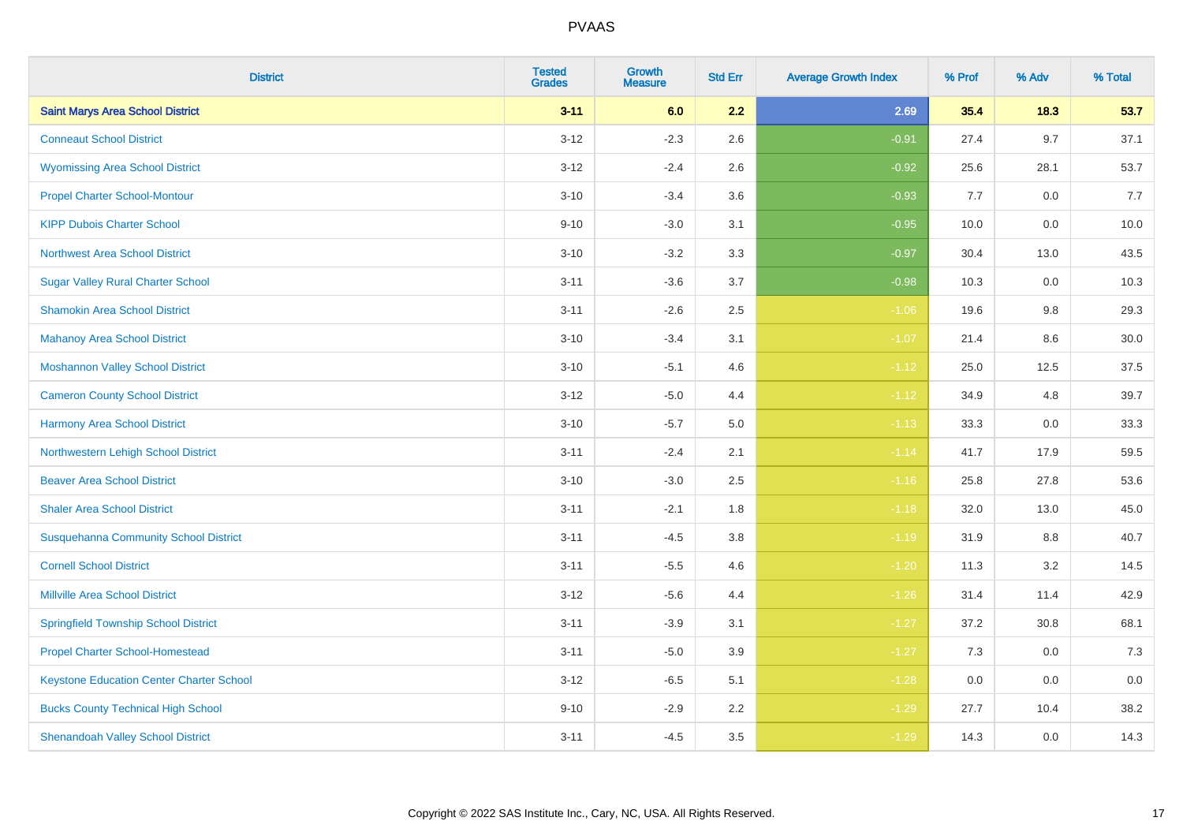| <b>District</b>                                 | <b>Tested</b><br><b>Grades</b> | <b>Growth</b><br><b>Measure</b> | <b>Std Err</b> | <b>Average Growth Index</b> | % Prof | % Adv   | % Total |
|-------------------------------------------------|--------------------------------|---------------------------------|----------------|-----------------------------|--------|---------|---------|
| <b>Saint Marys Area School District</b>         | $3 - 11$                       | 6.0                             | 2.2            | 2.69                        | 35.4   | 18.3    | 53.7    |
| <b>Conneaut School District</b>                 | $3 - 12$                       | $-2.3$                          | 2.6            | $-0.91$                     | 27.4   | 9.7     | 37.1    |
| <b>Wyomissing Area School District</b>          | $3 - 12$                       | $-2.4$                          | 2.6            | $-0.92$                     | 25.6   | 28.1    | 53.7    |
| <b>Propel Charter School-Montour</b>            | $3 - 10$                       | $-3.4$                          | 3.6            | $-0.93$                     | 7.7    | $0.0\,$ | 7.7     |
| <b>KIPP Dubois Charter School</b>               | $9 - 10$                       | $-3.0$                          | 3.1            | $-0.95$                     | 10.0   | 0.0     | 10.0    |
| <b>Northwest Area School District</b>           | $3 - 10$                       | $-3.2$                          | 3.3            | $-0.97$                     | 30.4   | 13.0    | 43.5    |
| <b>Sugar Valley Rural Charter School</b>        | $3 - 11$                       | $-3.6$                          | 3.7            | $-0.98$                     | 10.3   | 0.0     | 10.3    |
| <b>Shamokin Area School District</b>            | $3 - 11$                       | $-2.6$                          | 2.5            | $-1.06$                     | 19.6   | 9.8     | 29.3    |
| <b>Mahanoy Area School District</b>             | $3 - 10$                       | $-3.4$                          | 3.1            | $-1.07$                     | 21.4   | 8.6     | 30.0    |
| <b>Moshannon Valley School District</b>         | $3 - 10$                       | $-5.1$                          | 4.6            | $-1.12$                     | 25.0   | 12.5    | 37.5    |
| <b>Cameron County School District</b>           | $3 - 12$                       | $-5.0$                          | 4.4            | $-1.12$                     | 34.9   | 4.8     | 39.7    |
| <b>Harmony Area School District</b>             | $3 - 10$                       | $-5.7$                          | $5.0\,$        | $-1.13$                     | 33.3   | 0.0     | 33.3    |
| Northwestern Lehigh School District             | $3 - 11$                       | $-2.4$                          | 2.1            | $-1.14$                     | 41.7   | 17.9    | 59.5    |
| <b>Beaver Area School District</b>              | $3 - 10$                       | $-3.0$                          | 2.5            | $-1.16$                     | 25.8   | 27.8    | 53.6    |
| <b>Shaler Area School District</b>              | $3 - 11$                       | $-2.1$                          | 1.8            | $-1.18$                     | 32.0   | 13.0    | 45.0    |
| <b>Susquehanna Community School District</b>    | $3 - 11$                       | $-4.5$                          | 3.8            | $-1.19$                     | 31.9   | $8.8\,$ | 40.7    |
| <b>Cornell School District</b>                  | $3 - 11$                       | $-5.5$                          | 4.6            | $-1.20$                     | 11.3   | $3.2\,$ | 14.5    |
| <b>Millville Area School District</b>           | $3-12$                         | $-5.6$                          | 4.4            | $-1.26$                     | 31.4   | 11.4    | 42.9    |
| <b>Springfield Township School District</b>     | $3 - 11$                       | $-3.9$                          | 3.1            | $-1.27$                     | 37.2   | 30.8    | 68.1    |
| <b>Propel Charter School-Homestead</b>          | $3 - 11$                       | $-5.0$                          | 3.9            | $-1.27$                     | 7.3    | 0.0     | 7.3     |
| <b>Keystone Education Center Charter School</b> | $3 - 12$                       | $-6.5$                          | 5.1            | $-1.28$                     | 0.0    | 0.0     | 0.0     |
| <b>Bucks County Technical High School</b>       | $9 - 10$                       | $-2.9$                          | 2.2            | $-1.29$                     | 27.7   | 10.4    | 38.2    |
| <b>Shenandoah Valley School District</b>        | $3 - 11$                       | $-4.5$                          | 3.5            | $-1.29$                     | 14.3   | 0.0     | 14.3    |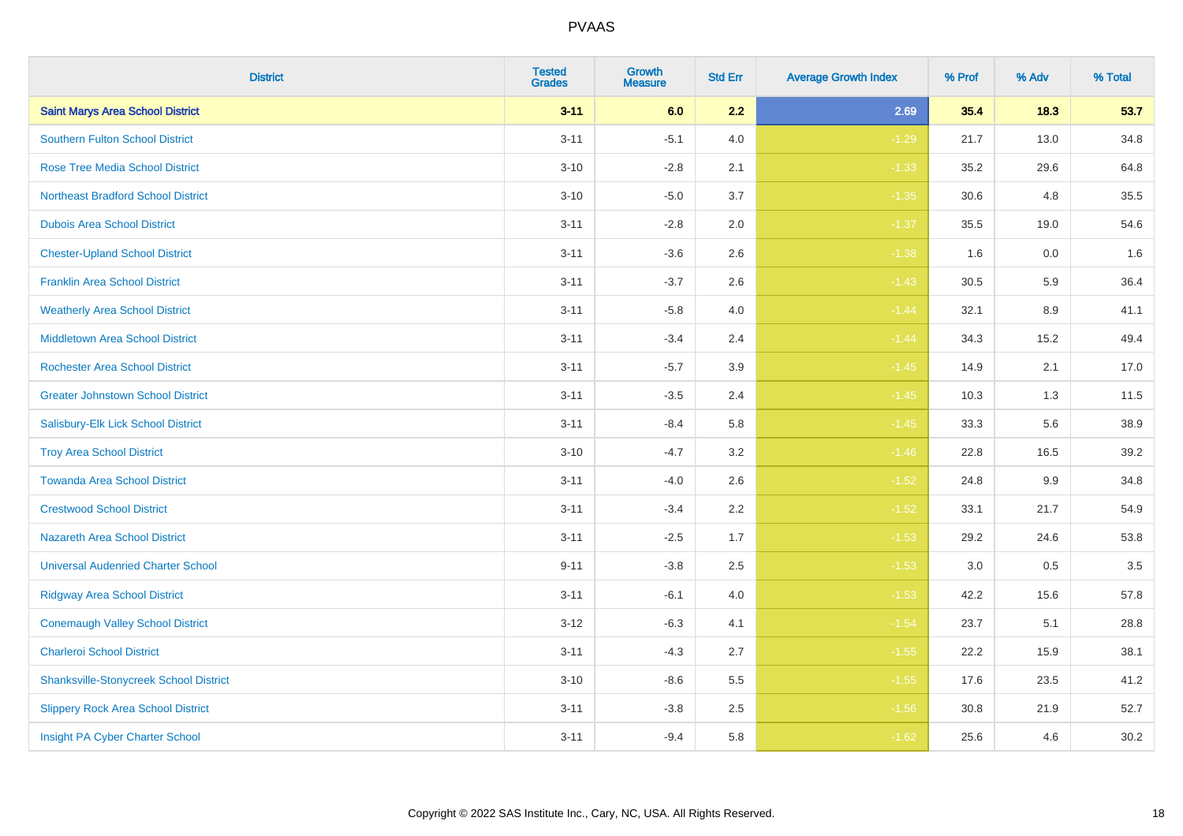| <b>District</b>                               | <b>Tested</b><br><b>Grades</b> | <b>Growth</b><br><b>Measure</b> | <b>Std Err</b> | <b>Average Growth Index</b> | % Prof | % Adv | % Total |
|-----------------------------------------------|--------------------------------|---------------------------------|----------------|-----------------------------|--------|-------|---------|
| <b>Saint Marys Area School District</b>       | $3 - 11$                       | 6.0                             | 2.2            | 2.69                        | 35.4   | 18.3  | 53.7    |
| Southern Fulton School District               | $3 - 11$                       | $-5.1$                          | 4.0            | $-1.29$                     | 21.7   | 13.0  | 34.8    |
| <b>Rose Tree Media School District</b>        | $3 - 10$                       | $-2.8$                          | 2.1            | $-1.33$                     | 35.2   | 29.6  | 64.8    |
| <b>Northeast Bradford School District</b>     | $3 - 10$                       | $-5.0$                          | 3.7            | $-1.35$                     | 30.6   | 4.8   | 35.5    |
| <b>Dubois Area School District</b>            | $3 - 11$                       | $-2.8$                          | 2.0            | $-1.37$                     | 35.5   | 19.0  | 54.6    |
| <b>Chester-Upland School District</b>         | $3 - 11$                       | $-3.6$                          | 2.6            | $-1.38$                     | 1.6    | 0.0   | 1.6     |
| <b>Franklin Area School District</b>          | $3 - 11$                       | $-3.7$                          | 2.6            | $-1.43$                     | 30.5   | 5.9   | 36.4    |
| <b>Weatherly Area School District</b>         | $3 - 11$                       | $-5.8$                          | 4.0            | $-1.44$                     | 32.1   | 8.9   | 41.1    |
| <b>Middletown Area School District</b>        | $3 - 11$                       | $-3.4$                          | 2.4            | $-1.44$                     | 34.3   | 15.2  | 49.4    |
| <b>Rochester Area School District</b>         | $3 - 11$                       | $-5.7$                          | 3.9            | $-1.45$                     | 14.9   | 2.1   | 17.0    |
| <b>Greater Johnstown School District</b>      | $3 - 11$                       | $-3.5$                          | 2.4            | $-1.45$                     | 10.3   | 1.3   | 11.5    |
| Salisbury-Elk Lick School District            | $3 - 11$                       | $-8.4$                          | 5.8            | $-1.45$                     | 33.3   | 5.6   | 38.9    |
| <b>Troy Area School District</b>              | $3 - 10$                       | $-4.7$                          | 3.2            | $-1.46$                     | 22.8   | 16.5  | 39.2    |
| <b>Towanda Area School District</b>           | $3 - 11$                       | $-4.0$                          | 2.6            | $-1.52$                     | 24.8   | 9.9   | 34.8    |
| <b>Crestwood School District</b>              | $3 - 11$                       | $-3.4$                          | 2.2            | $-1.52$                     | 33.1   | 21.7  | 54.9    |
| Nazareth Area School District                 | $3 - 11$                       | $-2.5$                          | 1.7            | $-1.53$                     | 29.2   | 24.6  | 53.8    |
| <b>Universal Audenried Charter School</b>     | $9 - 11$                       | $-3.8$                          | 2.5            | $-1.53$                     | 3.0    | 0.5   | 3.5     |
| <b>Ridgway Area School District</b>           | $3 - 11$                       | $-6.1$                          | 4.0            | $-1.53$                     | 42.2   | 15.6  | 57.8    |
| <b>Conemaugh Valley School District</b>       | $3 - 12$                       | $-6.3$                          | 4.1            | $-1.54$                     | 23.7   | 5.1   | 28.8    |
| <b>Charleroi School District</b>              | $3 - 11$                       | $-4.3$                          | 2.7            | $-1.55$                     | 22.2   | 15.9  | 38.1    |
| <b>Shanksville-Stonycreek School District</b> | $3 - 10$                       | $-8.6$                          | 5.5            | $-1.55$                     | 17.6   | 23.5  | 41.2    |
| <b>Slippery Rock Area School District</b>     | $3 - 11$                       | $-3.8$                          | 2.5            | $-1.56$                     | 30.8   | 21.9  | 52.7    |
| Insight PA Cyber Charter School               | $3 - 11$                       | $-9.4$                          | 5.8            | $-1.62$                     | 25.6   | 4.6   | 30.2    |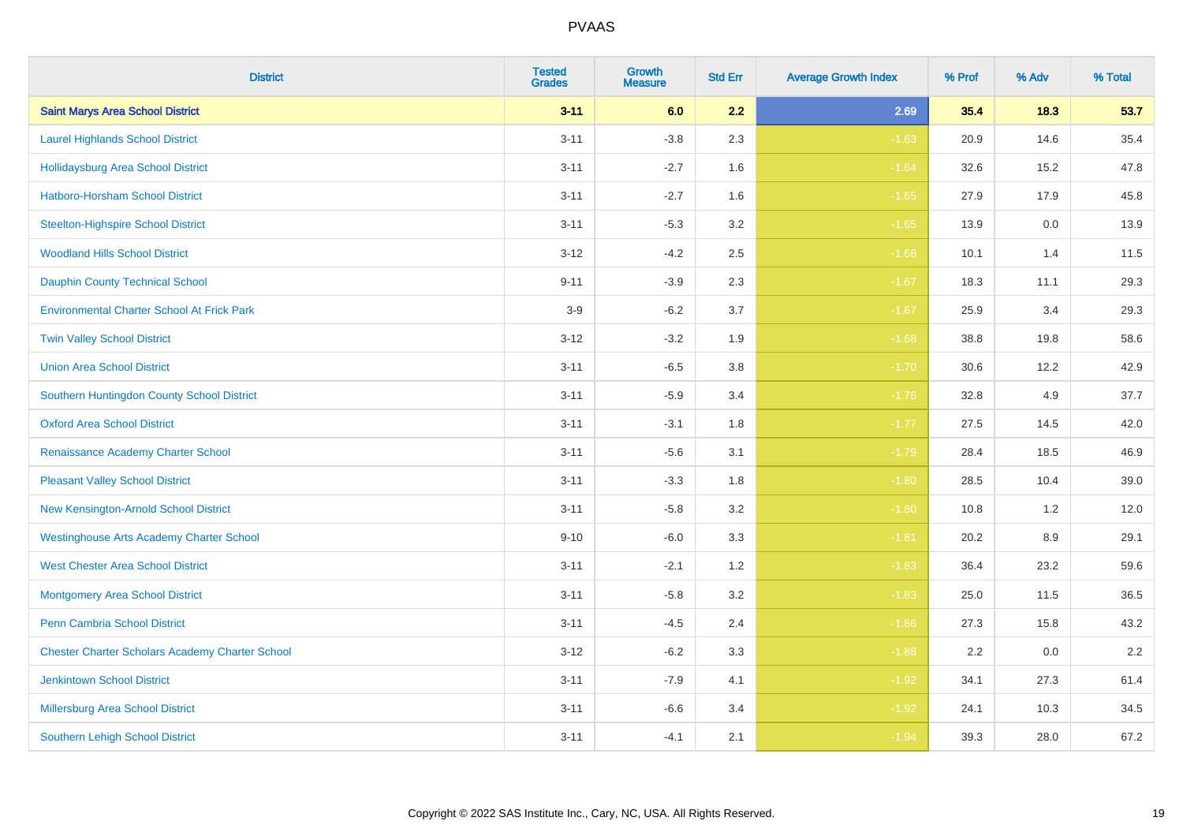| <b>District</b>                                        | <b>Tested</b><br><b>Grades</b> | <b>Growth</b><br><b>Measure</b> | <b>Std Err</b> | <b>Average Growth Index</b> | % Prof | % Adv   | % Total |
|--------------------------------------------------------|--------------------------------|---------------------------------|----------------|-----------------------------|--------|---------|---------|
| <b>Saint Marys Area School District</b>                | $3 - 11$                       | 6.0                             | 2.2            | 2.69                        | 35.4   | 18.3    | 53.7    |
| <b>Laurel Highlands School District</b>                | $3 - 11$                       | $-3.8$                          | 2.3            | $-1.63$                     | 20.9   | 14.6    | 35.4    |
| <b>Hollidaysburg Area School District</b>              | $3 - 11$                       | $-2.7$                          | 1.6            | $-1.64$                     | 32.6   | 15.2    | 47.8    |
| <b>Hatboro-Horsham School District</b>                 | $3 - 11$                       | $-2.7$                          | 1.6            | $-1.65$                     | 27.9   | 17.9    | 45.8    |
| <b>Steelton-Highspire School District</b>              | $3 - 11$                       | $-5.3$                          | 3.2            | $-1.65$                     | 13.9   | 0.0     | 13.9    |
| <b>Woodland Hills School District</b>                  | $3 - 12$                       | $-4.2$                          | 2.5            | $-1.66$                     | 10.1   | 1.4     | 11.5    |
| <b>Dauphin County Technical School</b>                 | $9 - 11$                       | $-3.9$                          | 2.3            | $-1.67$                     | 18.3   | 11.1    | 29.3    |
| <b>Environmental Charter School At Frick Park</b>      | $3-9$                          | $-6.2$                          | 3.7            | $-1.67$                     | 25.9   | 3.4     | 29.3    |
| <b>Twin Valley School District</b>                     | $3 - 12$                       | $-3.2$                          | 1.9            | $-1.68$                     | 38.8   | 19.8    | 58.6    |
| <b>Union Area School District</b>                      | $3 - 11$                       | $-6.5$                          | 3.8            | $-1.70$                     | 30.6   | 12.2    | 42.9    |
| Southern Huntingdon County School District             | $3 - 11$                       | $-5.9$                          | 3.4            | $-1.76$                     | 32.8   | 4.9     | 37.7    |
| <b>Oxford Area School District</b>                     | $3 - 11$                       | $-3.1$                          | 1.8            | $-1.77$                     | 27.5   | 14.5    | 42.0    |
| Renaissance Academy Charter School                     | $3 - 11$                       | $-5.6$                          | 3.1            | $-1.79$                     | 28.4   | 18.5    | 46.9    |
| <b>Pleasant Valley School District</b>                 | $3 - 11$                       | $-3.3$                          | 1.8            | $-1.80$                     | 28.5   | 10.4    | 39.0    |
| New Kensington-Arnold School District                  | $3 - 11$                       | $-5.8$                          | 3.2            | $-1.80$                     | 10.8   | 1.2     | 12.0    |
| <b>Westinghouse Arts Academy Charter School</b>        | $9 - 10$                       | $-6.0$                          | 3.3            | $-1.81$                     | 20.2   | $8.9\,$ | 29.1    |
| <b>West Chester Area School District</b>               | $3 - 11$                       | $-2.1$                          | 1.2            | $-1.83$                     | 36.4   | 23.2    | 59.6    |
| <b>Montgomery Area School District</b>                 | $3 - 11$                       | $-5.8$                          | 3.2            | $-1.83$                     | 25.0   | 11.5    | 36.5    |
| Penn Cambria School District                           | $3 - 11$                       | $-4.5$                          | 2.4            | $-1.86$                     | 27.3   | 15.8    | 43.2    |
| <b>Chester Charter Scholars Academy Charter School</b> | $3 - 12$                       | $-6.2$                          | 3.3            | $-1.88$                     | 2.2    | 0.0     | 2.2     |
| <b>Jenkintown School District</b>                      | $3 - 11$                       | $-7.9$                          | 4.1            | $-1.92$                     | 34.1   | 27.3    | 61.4    |
| <b>Millersburg Area School District</b>                | $3 - 11$                       | $-6.6$                          | 3.4            | $-1.92$                     | 24.1   | 10.3    | 34.5    |
| <b>Southern Lehigh School District</b>                 | $3 - 11$                       | $-4.1$                          | 2.1            | $-1.94$                     | 39.3   | 28.0    | 67.2    |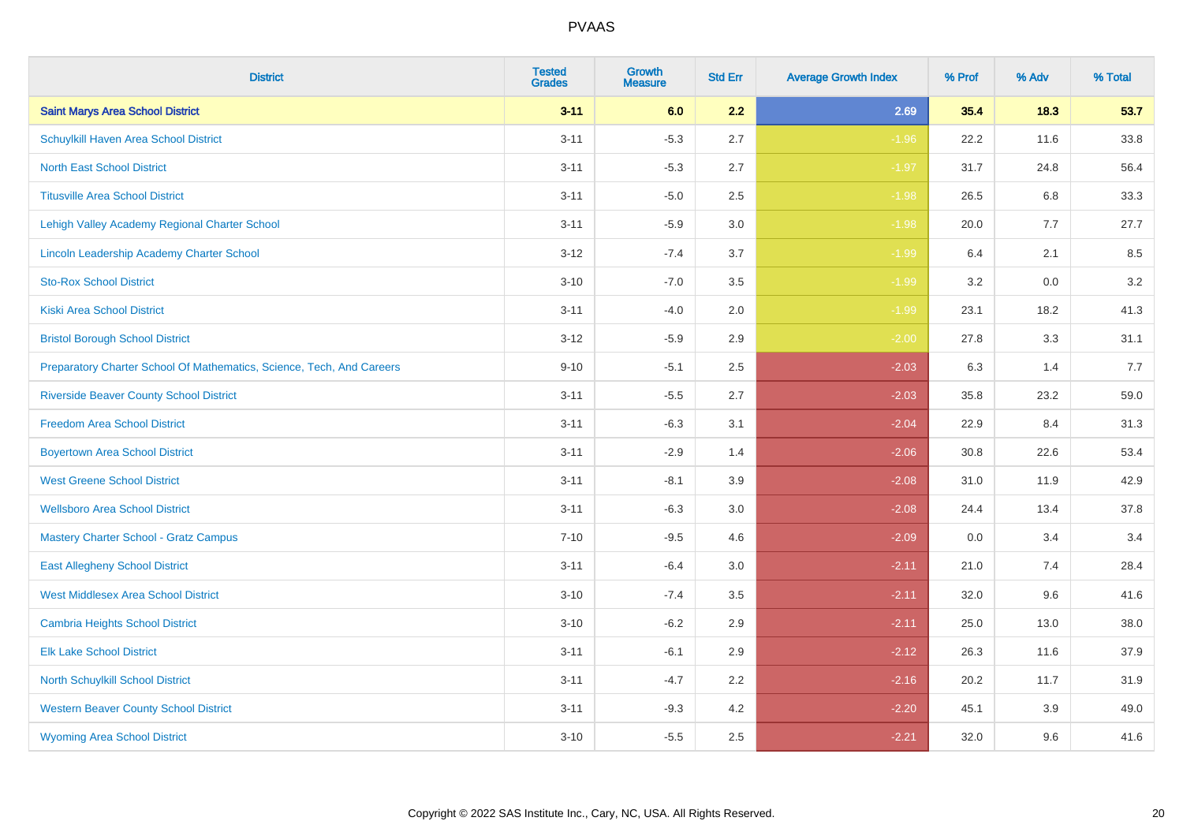| <b>District</b>                                                       | <b>Tested</b><br><b>Grades</b> | <b>Growth</b><br><b>Measure</b> | <b>Std Err</b> | <b>Average Growth Index</b> | % Prof | % Adv   | % Total |
|-----------------------------------------------------------------------|--------------------------------|---------------------------------|----------------|-----------------------------|--------|---------|---------|
| <b>Saint Marys Area School District</b>                               | $3 - 11$                       | 6.0                             | 2.2            | 2.69                        | 35.4   | 18.3    | 53.7    |
| Schuylkill Haven Area School District                                 | $3 - 11$                       | $-5.3$                          | 2.7            | $-1.96$                     | 22.2   | 11.6    | 33.8    |
| <b>North East School District</b>                                     | $3 - 11$                       | $-5.3$                          | 2.7            | $-1.97$                     | 31.7   | 24.8    | 56.4    |
| <b>Titusville Area School District</b>                                | $3 - 11$                       | $-5.0$                          | 2.5            | $-1.98$                     | 26.5   | 6.8     | 33.3    |
| Lehigh Valley Academy Regional Charter School                         | $3 - 11$                       | $-5.9$                          | 3.0            | $-1.98$                     | 20.0   | 7.7     | 27.7    |
| Lincoln Leadership Academy Charter School                             | $3 - 12$                       | $-7.4$                          | 3.7            | $-1.99$                     | 6.4    | 2.1     | 8.5     |
| <b>Sto-Rox School District</b>                                        | $3 - 10$                       | $-7.0$                          | 3.5            | $-1.99$                     | 3.2    | $0.0\,$ | 3.2     |
| <b>Kiski Area School District</b>                                     | $3 - 11$                       | $-4.0$                          | 2.0            | $-1.99$                     | 23.1   | 18.2    | 41.3    |
| <b>Bristol Borough School District</b>                                | $3 - 12$                       | $-5.9$                          | 2.9            | $-2.00$                     | 27.8   | 3.3     | 31.1    |
| Preparatory Charter School Of Mathematics, Science, Tech, And Careers | $9 - 10$                       | $-5.1$                          | $2.5\,$        | $-2.03$                     | 6.3    | 1.4     | 7.7     |
| <b>Riverside Beaver County School District</b>                        | $3 - 11$                       | $-5.5$                          | 2.7            | $-2.03$                     | 35.8   | 23.2    | 59.0    |
| <b>Freedom Area School District</b>                                   | $3 - 11$                       | $-6.3$                          | 3.1            | $-2.04$                     | 22.9   | 8.4     | 31.3    |
| <b>Boyertown Area School District</b>                                 | $3 - 11$                       | $-2.9$                          | 1.4            | $-2.06$                     | 30.8   | 22.6    | 53.4    |
| <b>West Greene School District</b>                                    | $3 - 11$                       | $-8.1$                          | 3.9            | $-2.08$                     | 31.0   | 11.9    | 42.9    |
| <b>Wellsboro Area School District</b>                                 | $3 - 11$                       | $-6.3$                          | 3.0            | $-2.08$                     | 24.4   | 13.4    | 37.8    |
| <b>Mastery Charter School - Gratz Campus</b>                          | $7 - 10$                       | $-9.5$                          | 4.6            | $-2.09$                     | 0.0    | 3.4     | 3.4     |
| <b>East Allegheny School District</b>                                 | $3 - 11$                       | $-6.4$                          | 3.0            | $-2.11$                     | 21.0   | 7.4     | 28.4    |
| <b>West Middlesex Area School District</b>                            | $3 - 10$                       | $-7.4$                          | 3.5            | $-2.11$                     | 32.0   | 9.6     | 41.6    |
| <b>Cambria Heights School District</b>                                | $3 - 10$                       | $-6.2$                          | 2.9            | $-2.11$                     | 25.0   | 13.0    | 38.0    |
| <b>Elk Lake School District</b>                                       | $3 - 11$                       | $-6.1$                          | 2.9            | $-2.12$                     | 26.3   | 11.6    | 37.9    |
| North Schuylkill School District                                      | $3 - 11$                       | $-4.7$                          | 2.2            | $-2.16$                     | 20.2   | 11.7    | 31.9    |
| <b>Western Beaver County School District</b>                          | $3 - 11$                       | $-9.3$                          | 4.2            | $-2.20$                     | 45.1   | 3.9     | 49.0    |
| <b>Wyoming Area School District</b>                                   | $3 - 10$                       | $-5.5$                          | 2.5            | $-2.21$                     | 32.0   | 9.6     | 41.6    |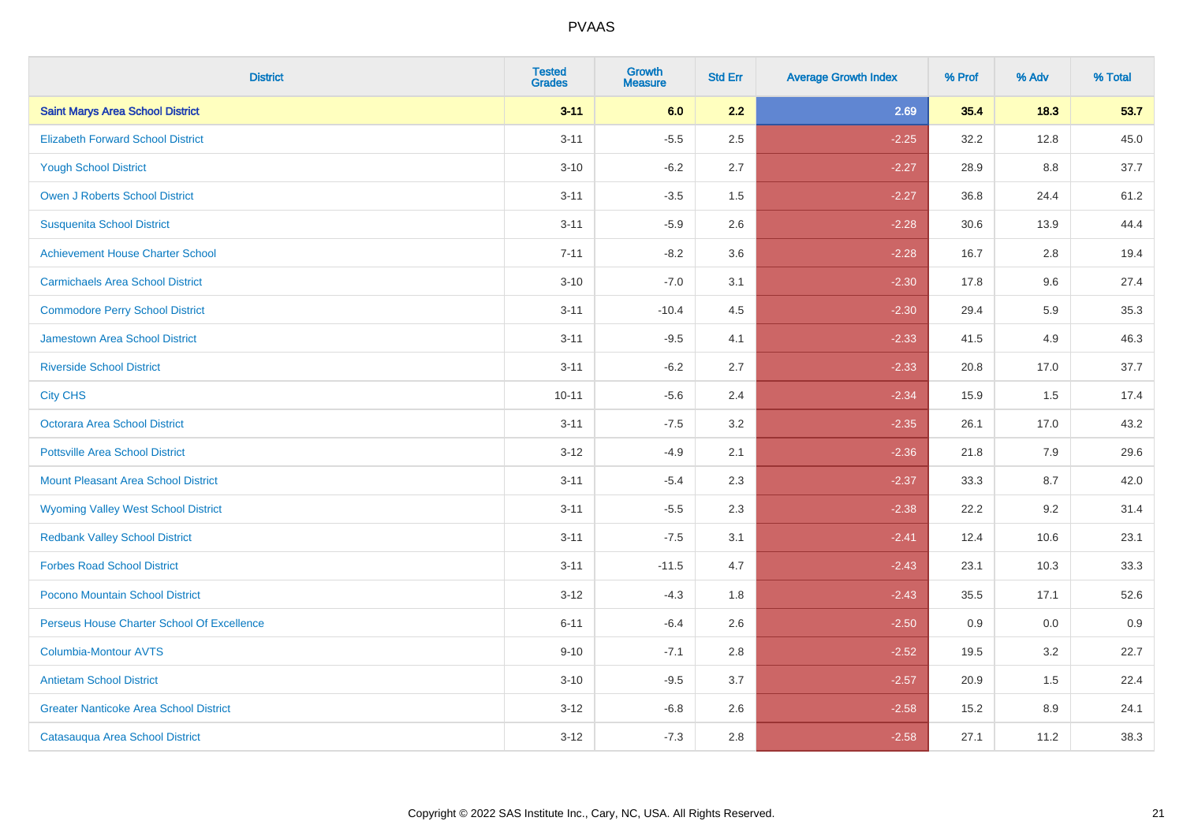| <b>District</b>                               | <b>Tested</b><br><b>Grades</b> | <b>Growth</b><br><b>Measure</b> | <b>Std Err</b> | <b>Average Growth Index</b> | % Prof | % Adv | % Total |
|-----------------------------------------------|--------------------------------|---------------------------------|----------------|-----------------------------|--------|-------|---------|
| <b>Saint Marys Area School District</b>       | $3 - 11$                       | 6.0                             | 2.2            | 2.69                        | 35.4   | 18.3  | 53.7    |
| <b>Elizabeth Forward School District</b>      | $3 - 11$                       | $-5.5$                          | 2.5            | $-2.25$                     | 32.2   | 12.8  | 45.0    |
| <b>Yough School District</b>                  | $3 - 10$                       | $-6.2$                          | 2.7            | $-2.27$                     | 28.9   | 8.8   | 37.7    |
| <b>Owen J Roberts School District</b>         | $3 - 11$                       | $-3.5$                          | 1.5            | $-2.27$                     | 36.8   | 24.4  | 61.2    |
| <b>Susquenita School District</b>             | $3 - 11$                       | $-5.9$                          | 2.6            | $-2.28$                     | 30.6   | 13.9  | 44.4    |
| <b>Achievement House Charter School</b>       | $7 - 11$                       | $-8.2$                          | 3.6            | $-2.28$                     | 16.7   | 2.8   | 19.4    |
| <b>Carmichaels Area School District</b>       | $3 - 10$                       | $-7.0$                          | 3.1            | $-2.30$                     | 17.8   | 9.6   | 27.4    |
| <b>Commodore Perry School District</b>        | $3 - 11$                       | $-10.4$                         | 4.5            | $-2.30$                     | 29.4   | 5.9   | 35.3    |
| Jamestown Area School District                | $3 - 11$                       | $-9.5$                          | 4.1            | $-2.33$                     | 41.5   | 4.9   | 46.3    |
| <b>Riverside School District</b>              | $3 - 11$                       | $-6.2$                          | 2.7            | $-2.33$                     | 20.8   | 17.0  | 37.7    |
| <b>City CHS</b>                               | $10 - 11$                      | $-5.6$                          | 2.4            | $-2.34$                     | 15.9   | 1.5   | 17.4    |
| Octorara Area School District                 | $3 - 11$                       | $-7.5$                          | 3.2            | $-2.35$                     | 26.1   | 17.0  | 43.2    |
| <b>Pottsville Area School District</b>        | $3 - 12$                       | $-4.9$                          | 2.1            | $-2.36$                     | 21.8   | 7.9   | 29.6    |
| <b>Mount Pleasant Area School District</b>    | $3 - 11$                       | $-5.4$                          | 2.3            | $-2.37$                     | 33.3   | 8.7   | 42.0    |
| <b>Wyoming Valley West School District</b>    | $3 - 11$                       | $-5.5$                          | 2.3            | $-2.38$                     | 22.2   | 9.2   | 31.4    |
| <b>Redbank Valley School District</b>         | $3 - 11$                       | $-7.5$                          | 3.1            | $-2.41$                     | 12.4   | 10.6  | 23.1    |
| <b>Forbes Road School District</b>            | $3 - 11$                       | $-11.5$                         | 4.7            | $-2.43$                     | 23.1   | 10.3  | 33.3    |
| Pocono Mountain School District               | $3 - 12$                       | $-4.3$                          | 1.8            | $-2.43$                     | 35.5   | 17.1  | 52.6    |
| Perseus House Charter School Of Excellence    | $6 - 11$                       | $-6.4$                          | 2.6            | $-2.50$                     | 0.9    | 0.0   | 0.9     |
| <b>Columbia-Montour AVTS</b>                  | $9 - 10$                       | $-7.1$                          | 2.8            | $-2.52$                     | 19.5   | 3.2   | 22.7    |
| <b>Antietam School District</b>               | $3 - 10$                       | $-9.5$                          | 3.7            | $-2.57$                     | 20.9   | 1.5   | 22.4    |
| <b>Greater Nanticoke Area School District</b> | $3 - 12$                       | $-6.8$                          | 2.6            | $-2.58$                     | 15.2   | 8.9   | 24.1    |
| Catasauqua Area School District               | $3 - 12$                       | $-7.3$                          | 2.8            | $-2.58$                     | 27.1   | 11.2  | 38.3    |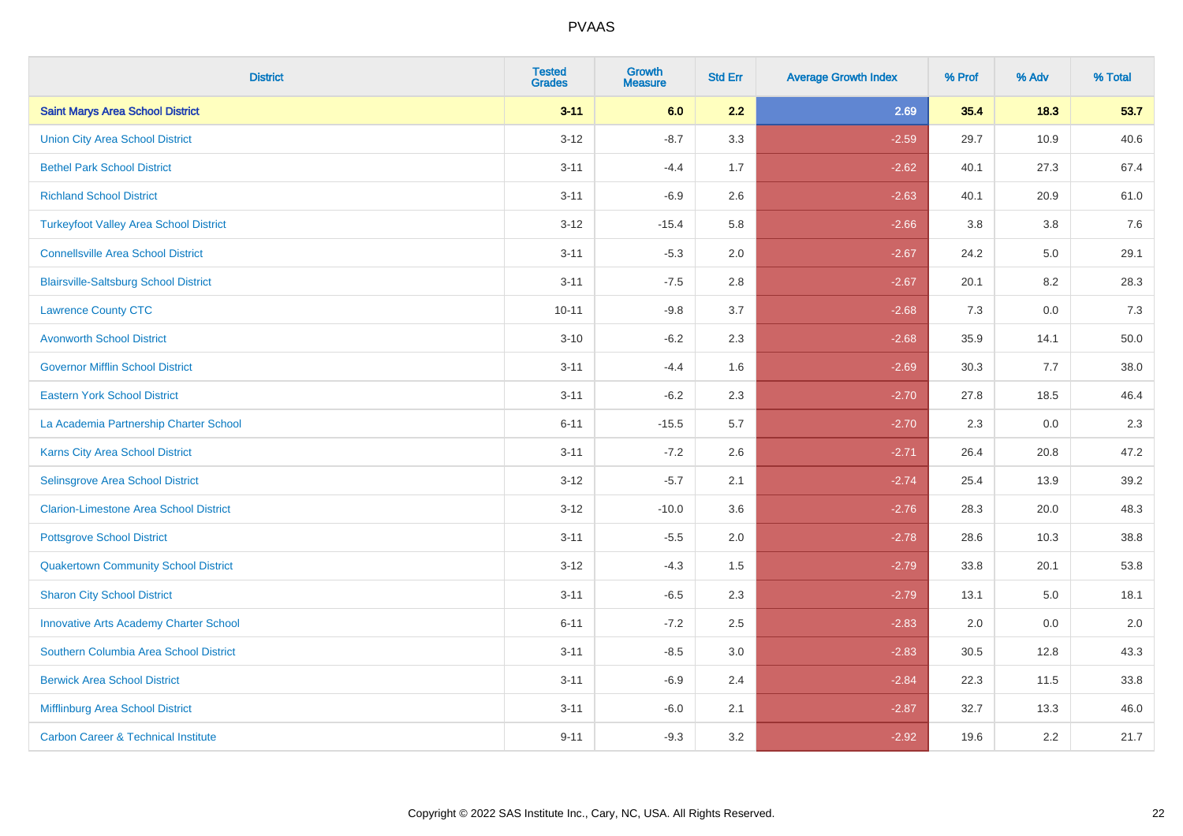| <b>District</b>                                | <b>Tested</b><br><b>Grades</b> | <b>Growth</b><br><b>Measure</b> | <b>Std Err</b> | <b>Average Growth Index</b> | % Prof | % Adv | % Total |
|------------------------------------------------|--------------------------------|---------------------------------|----------------|-----------------------------|--------|-------|---------|
| <b>Saint Marys Area School District</b>        | $3 - 11$                       | 6.0                             | 2.2            | 2.69                        | 35.4   | 18.3  | 53.7    |
| <b>Union City Area School District</b>         | $3 - 12$                       | $-8.7$                          | 3.3            | $-2.59$                     | 29.7   | 10.9  | 40.6    |
| <b>Bethel Park School District</b>             | $3 - 11$                       | $-4.4$                          | 1.7            | $-2.62$                     | 40.1   | 27.3  | 67.4    |
| <b>Richland School District</b>                | $3 - 11$                       | $-6.9$                          | 2.6            | $-2.63$                     | 40.1   | 20.9  | 61.0    |
| <b>Turkeyfoot Valley Area School District</b>  | $3 - 12$                       | $-15.4$                         | 5.8            | $-2.66$                     | 3.8    | 3.8   | 7.6     |
| <b>Connellsville Area School District</b>      | $3 - 11$                       | $-5.3$                          | 2.0            | $-2.67$                     | 24.2   | 5.0   | 29.1    |
| <b>Blairsville-Saltsburg School District</b>   | $3 - 11$                       | $-7.5$                          | 2.8            | $-2.67$                     | 20.1   | 8.2   | 28.3    |
| <b>Lawrence County CTC</b>                     | $10 - 11$                      | $-9.8$                          | 3.7            | $-2.68$                     | 7.3    | 0.0   | 7.3     |
| <b>Avonworth School District</b>               | $3 - 10$                       | $-6.2$                          | 2.3            | $-2.68$                     | 35.9   | 14.1  | 50.0    |
| <b>Governor Mifflin School District</b>        | $3 - 11$                       | $-4.4$                          | 1.6            | $-2.69$                     | 30.3   | 7.7   | 38.0    |
| <b>Eastern York School District</b>            | $3 - 11$                       | $-6.2$                          | 2.3            | $-2.70$                     | 27.8   | 18.5  | 46.4    |
| La Academia Partnership Charter School         | $6 - 11$                       | $-15.5$                         | 5.7            | $-2.70$                     | 2.3    | 0.0   | 2.3     |
| Karns City Area School District                | $3 - 11$                       | $-7.2$                          | 2.6            | $-2.71$                     | 26.4   | 20.8  | 47.2    |
| Selinsgrove Area School District               | $3 - 12$                       | $-5.7$                          | 2.1            | $-2.74$                     | 25.4   | 13.9  | 39.2    |
| <b>Clarion-Limestone Area School District</b>  | $3 - 12$                       | $-10.0$                         | 3.6            | $-2.76$                     | 28.3   | 20.0  | 48.3    |
| <b>Pottsgrove School District</b>              | $3 - 11$                       | $-5.5$                          | 2.0            | $-2.78$                     | 28.6   | 10.3  | 38.8    |
| <b>Quakertown Community School District</b>    | $3 - 12$                       | $-4.3$                          | 1.5            | $-2.79$                     | 33.8   | 20.1  | 53.8    |
| <b>Sharon City School District</b>             | $3 - 11$                       | $-6.5$                          | 2.3            | $-2.79$                     | 13.1   | 5.0   | 18.1    |
| <b>Innovative Arts Academy Charter School</b>  | $6 - 11$                       | $-7.2$                          | 2.5            | $-2.83$                     | 2.0    | 0.0   | 2.0     |
| Southern Columbia Area School District         | $3 - 11$                       | $-8.5$                          | 3.0            | $-2.83$                     | 30.5   | 12.8  | 43.3    |
| <b>Berwick Area School District</b>            | $3 - 11$                       | $-6.9$                          | 2.4            | $-2.84$                     | 22.3   | 11.5  | 33.8    |
| Mifflinburg Area School District               | $3 - 11$                       | $-6.0$                          | 2.1            | $-2.87$                     | 32.7   | 13.3  | 46.0    |
| <b>Carbon Career &amp; Technical Institute</b> | $9 - 11$                       | $-9.3$                          | 3.2            | $-2.92$                     | 19.6   | 2.2   | 21.7    |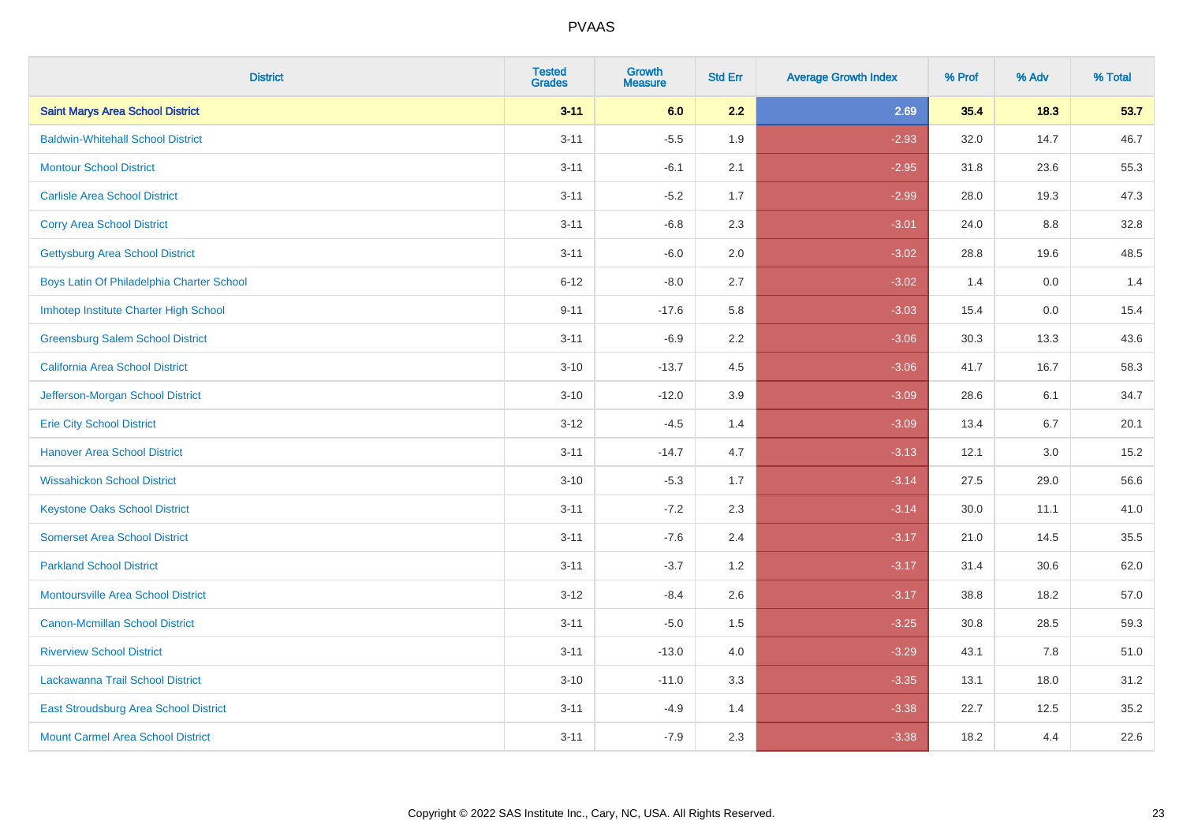| <b>District</b>                           | <b>Tested</b><br><b>Grades</b> | <b>Growth</b><br><b>Measure</b> | <b>Std Err</b> | <b>Average Growth Index</b> | % Prof | % Adv | % Total |
|-------------------------------------------|--------------------------------|---------------------------------|----------------|-----------------------------|--------|-------|---------|
| <b>Saint Marys Area School District</b>   | $3 - 11$                       | 6.0                             | 2.2            | 2.69                        | 35.4   | 18.3  | 53.7    |
| <b>Baldwin-Whitehall School District</b>  | $3 - 11$                       | $-5.5$                          | 1.9            | $-2.93$                     | 32.0   | 14.7  | 46.7    |
| <b>Montour School District</b>            | $3 - 11$                       | $-6.1$                          | 2.1            | $-2.95$                     | 31.8   | 23.6  | 55.3    |
| <b>Carlisle Area School District</b>      | $3 - 11$                       | $-5.2$                          | 1.7            | $-2.99$                     | 28.0   | 19.3  | 47.3    |
| <b>Corry Area School District</b>         | $3 - 11$                       | $-6.8$                          | 2.3            | $-3.01$                     | 24.0   | 8.8   | 32.8    |
| <b>Gettysburg Area School District</b>    | $3 - 11$                       | $-6.0$                          | 2.0            | $-3.02$                     | 28.8   | 19.6  | 48.5    |
| Boys Latin Of Philadelphia Charter School | $6 - 12$                       | $-8.0$                          | 2.7            | $-3.02$                     | 1.4    | 0.0   | 1.4     |
| Imhotep Institute Charter High School     | $9 - 11$                       | $-17.6$                         | 5.8            | $-3.03$                     | 15.4   | 0.0   | 15.4    |
| <b>Greensburg Salem School District</b>   | $3 - 11$                       | $-6.9$                          | 2.2            | $-3.06$                     | 30.3   | 13.3  | 43.6    |
| <b>California Area School District</b>    | $3 - 10$                       | $-13.7$                         | 4.5            | $-3.06$                     | 41.7   | 16.7  | 58.3    |
| Jefferson-Morgan School District          | $3 - 10$                       | $-12.0$                         | 3.9            | $-3.09$                     | 28.6   | 6.1   | 34.7    |
| <b>Erie City School District</b>          | $3 - 12$                       | $-4.5$                          | 1.4            | $-3.09$                     | 13.4   | 6.7   | 20.1    |
| <b>Hanover Area School District</b>       | $3 - 11$                       | $-14.7$                         | 4.7            | $-3.13$                     | 12.1   | 3.0   | 15.2    |
| <b>Wissahickon School District</b>        | $3 - 10$                       | $-5.3$                          | 1.7            | $-3.14$                     | 27.5   | 29.0  | 56.6    |
| <b>Keystone Oaks School District</b>      | $3 - 11$                       | $-7.2$                          | 2.3            | $-3.14$                     | 30.0   | 11.1  | 41.0    |
| <b>Somerset Area School District</b>      | $3 - 11$                       | $-7.6$                          | 2.4            | $-3.17$                     | 21.0   | 14.5  | 35.5    |
| <b>Parkland School District</b>           | $3 - 11$                       | $-3.7$                          | 1.2            | $-3.17$                     | 31.4   | 30.6  | 62.0    |
| <b>Montoursville Area School District</b> | $3 - 12$                       | $-8.4$                          | 2.6            | $-3.17$                     | 38.8   | 18.2  | 57.0    |
| <b>Canon-Mcmillan School District</b>     | $3 - 11$                       | $-5.0$                          | 1.5            | $-3.25$                     | 30.8   | 28.5  | 59.3    |
| <b>Riverview School District</b>          | $3 - 11$                       | $-13.0$                         | 4.0            | $-3.29$                     | 43.1   | 7.8   | 51.0    |
| Lackawanna Trail School District          | $3 - 10$                       | $-11.0$                         | 3.3            | $-3.35$                     | 13.1   | 18.0  | 31.2    |
| East Stroudsburg Area School District     | $3 - 11$                       | $-4.9$                          | 1.4            | $-3.38$                     | 22.7   | 12.5  | 35.2    |
| <b>Mount Carmel Area School District</b>  | $3 - 11$                       | $-7.9$                          | 2.3            | $-3.38$                     | 18.2   | 4.4   | 22.6    |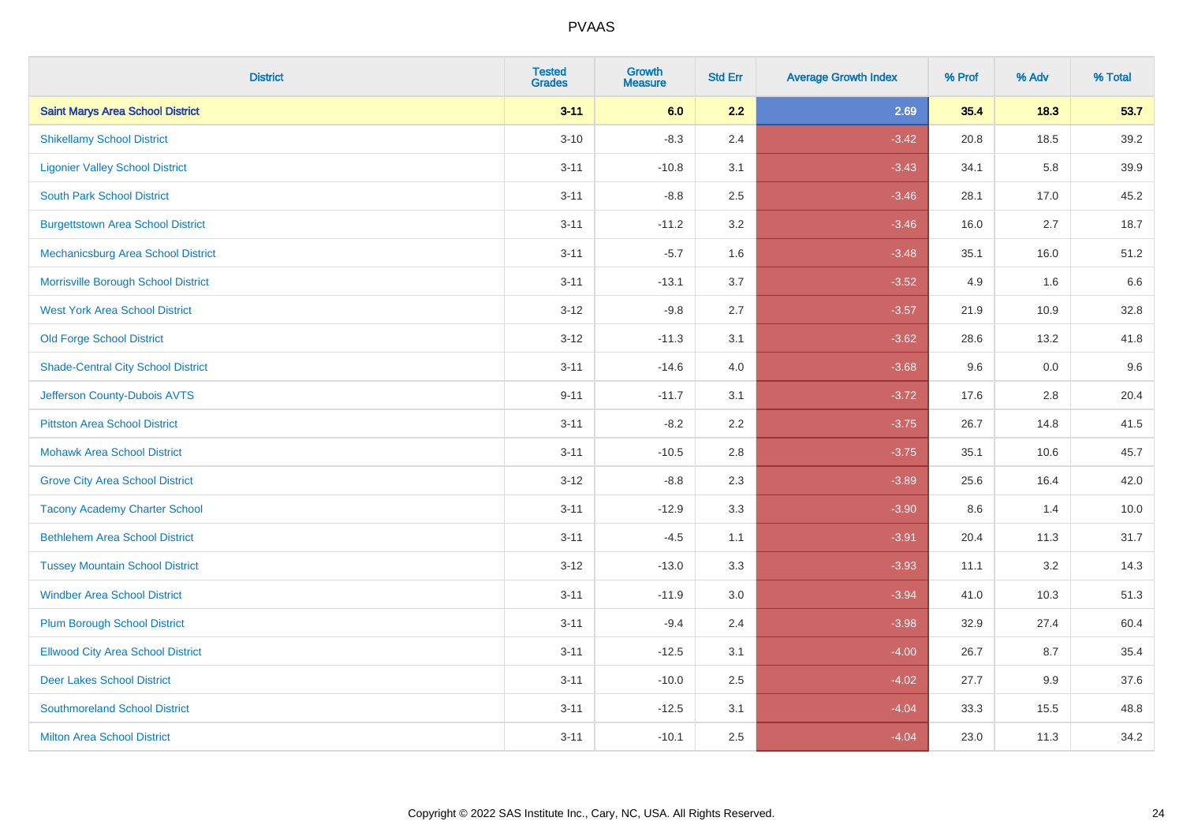| <b>District</b>                           | <b>Tested</b><br><b>Grades</b> | <b>Growth</b><br><b>Measure</b> | <b>Std Err</b> | <b>Average Growth Index</b> | % Prof | % Adv | % Total |
|-------------------------------------------|--------------------------------|---------------------------------|----------------|-----------------------------|--------|-------|---------|
| <b>Saint Marys Area School District</b>   | $3 - 11$                       | 6.0                             | 2.2            | 2.69                        | 35.4   | 18.3  | 53.7    |
| <b>Shikellamy School District</b>         | $3 - 10$                       | $-8.3$                          | 2.4            | $-3.42$                     | 20.8   | 18.5  | 39.2    |
| <b>Ligonier Valley School District</b>    | $3 - 11$                       | $-10.8$                         | 3.1            | $-3.43$                     | 34.1   | 5.8   | 39.9    |
| <b>South Park School District</b>         | $3 - 11$                       | $-8.8$                          | 2.5            | $-3.46$                     | 28.1   | 17.0  | 45.2    |
| <b>Burgettstown Area School District</b>  | $3 - 11$                       | $-11.2$                         | 3.2            | $-3.46$                     | 16.0   | 2.7   | 18.7    |
| Mechanicsburg Area School District        | $3 - 11$                       | $-5.7$                          | 1.6            | $-3.48$                     | 35.1   | 16.0  | 51.2    |
| Morrisville Borough School District       | $3 - 11$                       | $-13.1$                         | 3.7            | $-3.52$                     | 4.9    | 1.6   | 6.6     |
| <b>West York Area School District</b>     | $3 - 12$                       | $-9.8$                          | 2.7            | $-3.57$                     | 21.9   | 10.9  | 32.8    |
| <b>Old Forge School District</b>          | $3 - 12$                       | $-11.3$                         | 3.1            | $-3.62$                     | 28.6   | 13.2  | 41.8    |
| <b>Shade-Central City School District</b> | $3 - 11$                       | $-14.6$                         | 4.0            | $-3.68$                     | 9.6    | 0.0   | 9.6     |
| Jefferson County-Dubois AVTS              | $9 - 11$                       | $-11.7$                         | 3.1            | $-3.72$                     | 17.6   | 2.8   | 20.4    |
| <b>Pittston Area School District</b>      | $3 - 11$                       | $-8.2$                          | 2.2            | $-3.75$                     | 26.7   | 14.8  | 41.5    |
| <b>Mohawk Area School District</b>        | $3 - 11$                       | $-10.5$                         | 2.8            | $-3.75$                     | 35.1   | 10.6  | 45.7    |
| <b>Grove City Area School District</b>    | $3 - 12$                       | $-8.8$                          | 2.3            | $-3.89$                     | 25.6   | 16.4  | 42.0    |
| <b>Tacony Academy Charter School</b>      | $3 - 11$                       | $-12.9$                         | 3.3            | $-3.90$                     | 8.6    | 1.4   | 10.0    |
| <b>Bethlehem Area School District</b>     | $3 - 11$                       | $-4.5$                          | 1.1            | $-3.91$                     | 20.4   | 11.3  | 31.7    |
| <b>Tussey Mountain School District</b>    | $3 - 12$                       | $-13.0$                         | 3.3            | $-3.93$                     | 11.1   | 3.2   | 14.3    |
| <b>Windber Area School District</b>       | $3 - 11$                       | $-11.9$                         | 3.0            | $-3.94$                     | 41.0   | 10.3  | 51.3    |
| <b>Plum Borough School District</b>       | $3 - 11$                       | $-9.4$                          | 2.4            | $-3.98$                     | 32.9   | 27.4  | 60.4    |
| <b>Ellwood City Area School District</b>  | $3 - 11$                       | $-12.5$                         | 3.1            | $-4.00$                     | 26.7   | 8.7   | 35.4    |
| <b>Deer Lakes School District</b>         | $3 - 11$                       | $-10.0$                         | 2.5            | $-4.02$                     | 27.7   | 9.9   | 37.6    |
| <b>Southmoreland School District</b>      | $3 - 11$                       | $-12.5$                         | 3.1            | $-4.04$                     | 33.3   | 15.5  | 48.8    |
| <b>Milton Area School District</b>        | $3 - 11$                       | $-10.1$                         | 2.5            | $-4.04$                     | 23.0   | 11.3  | 34.2    |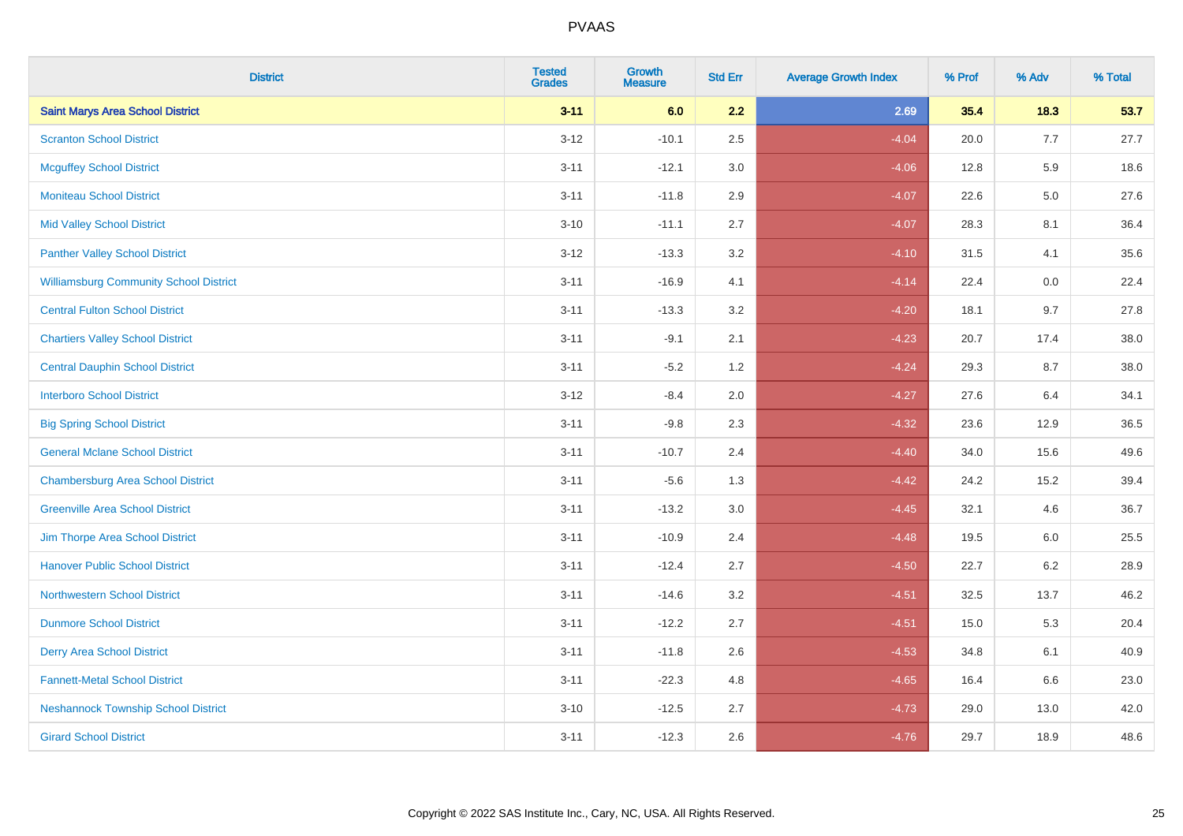| <b>District</b>                               | <b>Tested</b><br><b>Grades</b> | <b>Growth</b><br><b>Measure</b> | <b>Std Err</b> | <b>Average Growth Index</b> | % Prof | % Adv   | % Total |
|-----------------------------------------------|--------------------------------|---------------------------------|----------------|-----------------------------|--------|---------|---------|
| <b>Saint Marys Area School District</b>       | $3 - 11$                       | 6.0                             | 2.2            | 2.69                        | 35.4   | 18.3    | 53.7    |
| <b>Scranton School District</b>               | $3 - 12$                       | $-10.1$                         | 2.5            | $-4.04$                     | 20.0   | 7.7     | 27.7    |
| <b>Mcguffey School District</b>               | $3 - 11$                       | $-12.1$                         | 3.0            | $-4.06$                     | 12.8   | 5.9     | 18.6    |
| <b>Moniteau School District</b>               | $3 - 11$                       | $-11.8$                         | 2.9            | $-4.07$                     | 22.6   | $5.0\,$ | 27.6    |
| <b>Mid Valley School District</b>             | $3 - 10$                       | $-11.1$                         | 2.7            | $-4.07$                     | 28.3   | 8.1     | 36.4    |
| <b>Panther Valley School District</b>         | $3-12$                         | $-13.3$                         | 3.2            | $-4.10$                     | 31.5   | 4.1     | 35.6    |
| <b>Williamsburg Community School District</b> | $3 - 11$                       | $-16.9$                         | 4.1            | $-4.14$                     | 22.4   | 0.0     | 22.4    |
| <b>Central Fulton School District</b>         | $3 - 11$                       | $-13.3$                         | 3.2            | $-4.20$                     | 18.1   | 9.7     | 27.8    |
| <b>Chartiers Valley School District</b>       | $3 - 11$                       | $-9.1$                          | 2.1            | $-4.23$                     | 20.7   | 17.4    | 38.0    |
| <b>Central Dauphin School District</b>        | $3 - 11$                       | $-5.2$                          | 1.2            | $-4.24$                     | 29.3   | 8.7     | 38.0    |
| <b>Interboro School District</b>              | $3 - 12$                       | $-8.4$                          | 2.0            | $-4.27$                     | 27.6   | 6.4     | 34.1    |
| <b>Big Spring School District</b>             | $3 - 11$                       | $-9.8$                          | 2.3            | $-4.32$                     | 23.6   | 12.9    | 36.5    |
| <b>General Mclane School District</b>         | $3 - 11$                       | $-10.7$                         | 2.4            | $-4.40$                     | 34.0   | 15.6    | 49.6    |
| <b>Chambersburg Area School District</b>      | $3 - 11$                       | $-5.6$                          | 1.3            | $-4.42$                     | 24.2   | 15.2    | 39.4    |
| <b>Greenville Area School District</b>        | $3 - 11$                       | $-13.2$                         | 3.0            | $-4.45$                     | 32.1   | 4.6     | 36.7    |
| Jim Thorpe Area School District               | $3 - 11$                       | $-10.9$                         | 2.4            | $-4.48$                     | 19.5   | 6.0     | 25.5    |
| <b>Hanover Public School District</b>         | $3 - 11$                       | $-12.4$                         | 2.7            | $-4.50$                     | 22.7   | $6.2\,$ | 28.9    |
| <b>Northwestern School District</b>           | $3 - 11$                       | $-14.6$                         | 3.2            | $-4.51$                     | 32.5   | 13.7    | 46.2    |
| <b>Dunmore School District</b>                | $3 - 11$                       | $-12.2$                         | 2.7            | $-4.51$                     | 15.0   | 5.3     | 20.4    |
| <b>Derry Area School District</b>             | $3 - 11$                       | $-11.8$                         | 2.6            | $-4.53$                     | 34.8   | 6.1     | 40.9    |
| <b>Fannett-Metal School District</b>          | $3 - 11$                       | $-22.3$                         | 4.8            | $-4.65$                     | 16.4   | 6.6     | 23.0    |
| <b>Neshannock Township School District</b>    | $3 - 10$                       | $-12.5$                         | 2.7            | $-4.73$                     | 29.0   | 13.0    | 42.0    |
| <b>Girard School District</b>                 | $3 - 11$                       | $-12.3$                         | 2.6            | $-4.76$                     | 29.7   | 18.9    | 48.6    |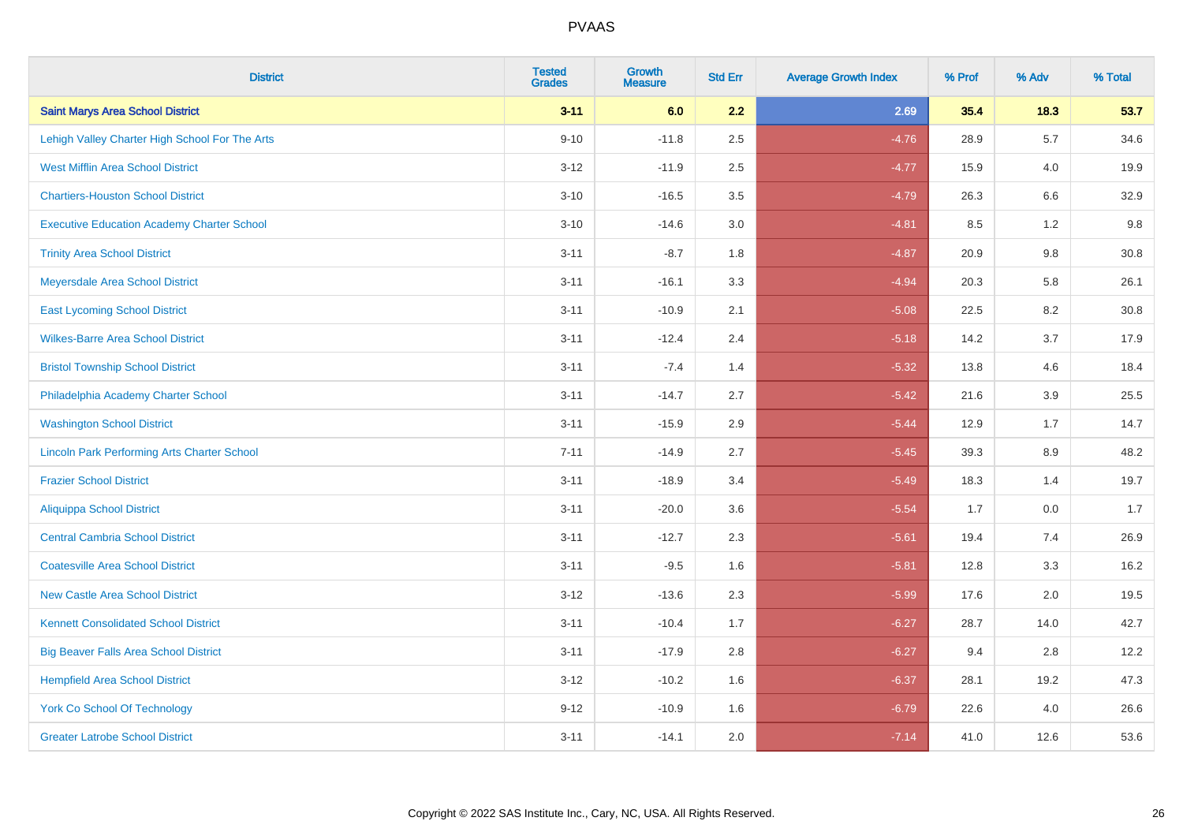| <b>District</b>                                    | <b>Tested</b><br><b>Grades</b> | <b>Growth</b><br><b>Measure</b> | <b>Std Err</b> | <b>Average Growth Index</b> | % Prof | % Adv   | % Total |
|----------------------------------------------------|--------------------------------|---------------------------------|----------------|-----------------------------|--------|---------|---------|
| <b>Saint Marys Area School District</b>            | $3 - 11$                       | 6.0                             | 2.2            | 2.69                        | 35.4   | 18.3    | 53.7    |
| Lehigh Valley Charter High School For The Arts     | $9 - 10$                       | $-11.8$                         | 2.5            | $-4.76$                     | 28.9   | 5.7     | 34.6    |
| <b>West Mifflin Area School District</b>           | $3 - 12$                       | $-11.9$                         | 2.5            | $-4.77$                     | 15.9   | 4.0     | 19.9    |
| <b>Chartiers-Houston School District</b>           | $3 - 10$                       | $-16.5$                         | 3.5            | $-4.79$                     | 26.3   | 6.6     | 32.9    |
| <b>Executive Education Academy Charter School</b>  | $3 - 10$                       | $-14.6$                         | 3.0            | $-4.81$                     | 8.5    | 1.2     | 9.8     |
| <b>Trinity Area School District</b>                | $3 - 11$                       | $-8.7$                          | 1.8            | $-4.87$                     | 20.9   | 9.8     | 30.8    |
| Meyersdale Area School District                    | $3 - 11$                       | $-16.1$                         | 3.3            | $-4.94$                     | 20.3   | 5.8     | 26.1    |
| <b>East Lycoming School District</b>               | $3 - 11$                       | $-10.9$                         | 2.1            | $-5.08$                     | 22.5   | 8.2     | 30.8    |
| <b>Wilkes-Barre Area School District</b>           | $3 - 11$                       | $-12.4$                         | 2.4            | $-5.18$                     | 14.2   | 3.7     | 17.9    |
| <b>Bristol Township School District</b>            | $3 - 11$                       | $-7.4$                          | 1.4            | $-5.32$                     | 13.8   | 4.6     | 18.4    |
| Philadelphia Academy Charter School                | $3 - 11$                       | $-14.7$                         | 2.7            | $-5.42$                     | 21.6   | 3.9     | 25.5    |
| <b>Washington School District</b>                  | $3 - 11$                       | $-15.9$                         | 2.9            | $-5.44$                     | 12.9   | 1.7     | 14.7    |
| <b>Lincoln Park Performing Arts Charter School</b> | $7 - 11$                       | $-14.9$                         | 2.7            | $-5.45$                     | 39.3   | $8.9\,$ | 48.2    |
| <b>Frazier School District</b>                     | $3 - 11$                       | $-18.9$                         | 3.4            | $-5.49$                     | 18.3   | 1.4     | 19.7    |
| <b>Aliquippa School District</b>                   | $3 - 11$                       | $-20.0$                         | 3.6            | $-5.54$                     | 1.7    | 0.0     | 1.7     |
| <b>Central Cambria School District</b>             | $3 - 11$                       | $-12.7$                         | 2.3            | $-5.61$                     | 19.4   | 7.4     | 26.9    |
| <b>Coatesville Area School District</b>            | $3 - 11$                       | $-9.5$                          | 1.6            | $-5.81$                     | 12.8   | 3.3     | 16.2    |
| <b>New Castle Area School District</b>             | $3 - 12$                       | $-13.6$                         | 2.3            | $-5.99$                     | 17.6   | 2.0     | 19.5    |
| <b>Kennett Consolidated School District</b>        | $3 - 11$                       | $-10.4$                         | 1.7            | $-6.27$                     | 28.7   | 14.0    | 42.7    |
| <b>Big Beaver Falls Area School District</b>       | $3 - 11$                       | $-17.9$                         | 2.8            | $-6.27$                     | 9.4    | 2.8     | 12.2    |
| <b>Hempfield Area School District</b>              | $3 - 12$                       | $-10.2$                         | 1.6            | $-6.37$                     | 28.1   | 19.2    | 47.3    |
| York Co School Of Technology                       | $9 - 12$                       | $-10.9$                         | 1.6            | $-6.79$                     | 22.6   | 4.0     | 26.6    |
| <b>Greater Latrobe School District</b>             | $3 - 11$                       | $-14.1$                         | 2.0            | $-7.14$                     | 41.0   | 12.6    | 53.6    |